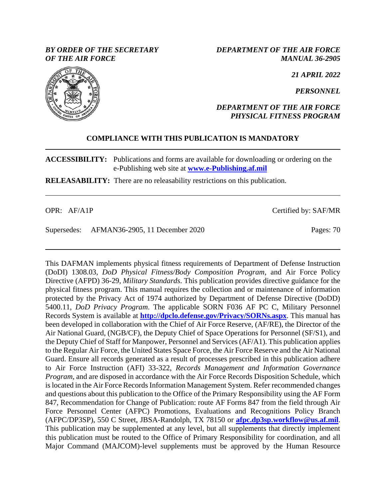### *BY ORDER OF THE SECRETARY OF THE AIR FORCE*

*DEPARTMENT OF THE AIR FORCE MANUAL 36-2905*

*21 APRIL 2022*

*PERSONNEL*

### *DEPARTMENT OF THE AIR FORCE PHYSICAL FITNESS PROGRAM*

## **COMPLIANCE WITH THIS PUBLICATION IS MANDATORY**

**ACCESSIBILITY:** Publications and forms are available for downloading or ordering on the e-Publishing web site at **[www.e-Publishing.af.mil](http://www.e-publishing.af.mil/)**

**RELEASABILITY:** There are no releasability restrictions on this publication.

OPR: AF/A1P Certified by: SAF/MR

Supersedes: AFMAN36-2905, 11 December 2020 Pages: 70

This DAFMAN implements physical fitness requirements of Department of Defense Instruction (DoDI) 1308.03, *DoD Physical Fitness/Body Composition Program*, and Air Force Policy Directive (AFPD) 36-29, *Military Standards*. This publication provides directive guidance for the physical fitness program. This manual requires the collection and or maintenance of information protected by the Privacy Act of 1974 authorized by Department of Defense Directive (DoDD) 5400.11, *DoD Privacy Program*. The applicable SORN F036 AF PC C, Military Personnel Records System is available at **<http://dpclo.defense.gov/Privacy/SORNs.aspx>**. This manual has been developed in collaboration with the Chief of Air Force Reserve, (AF/RE), the Director of the Air National Guard, (NGB/CF), the Deputy Chief of Space Operations for Personnel (SF/S1), and the Deputy Chief of Staff for Manpower, Personnel and Services (AF/A1). This publication applies to the Regular Air Force, the United States Space Force, the Air Force Reserve and the Air National Guard. Ensure all records generated as a result of processes prescribed in this publication adhere to Air Force Instruction (AFI) 33-322, *Records Management and Information Governance Program*, and are disposed in accordance with the Air Force Records Disposition Schedule, which is located in the Air Force Records Information Management System. Refer recommended changes and questions about this publication to the Office of the Primary Responsibility using the AF Form 847, Recommendation for Change of Publication: route AF Forms 847 from the field through Air Force Personnel Center (AFPC) Promotions, Evaluations and Recognitions Policy Branch (AFPC/DP3SP), 550 C Street, JBSA-Randolph, TX 78150 or **[afpc.dp3sp.workflow@us.af.mil](mailto:afpc.dp3sp.workflow@us.af.mil)**. This publication may be supplemented at any level, but all supplements that directly implement this publication must be routed to the Office of Primary Responsibility for coordination, and all Major Command (MAJCOM)-level supplements must be approved by the Human Resource

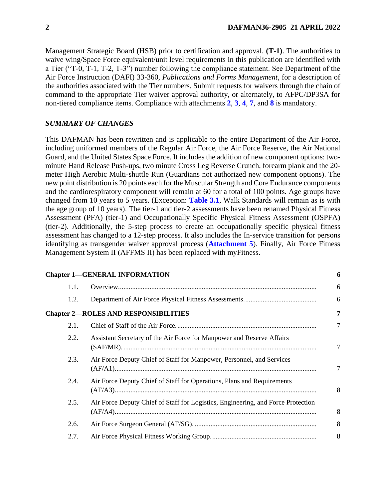Management Strategic Board (HSB) prior to certification and approval. **(T-1)**. The authorities to waive wing/Space Force equivalent/unit level requirements in this publication are identified with a Tier ("T-0, T-1, T-2, T-3") number following the compliance statement. See Department of the Air Force Instruction (DAFI) 33-360, *Publications and Forms Management*, for a description of the authorities associated with the Tier numbers. Submit requests for waivers through the chain of command to the appropriate Tier waiver approval authority, or alternately, to AFPC/DP3SA for non-tiered compliance items. Compliance with attachments **[2](#page-51-0)**, **[3](#page-56-0)**, **[4](#page-58-0)**, **[7](#page-64-0)**, and **[8](#page-67-0)** is mandatory.

### *SUMMARY OF CHANGES*

This DAFMAN has been rewritten and is applicable to the entire Department of the Air Force, including uniformed members of the Regular Air Force, the Air Force Reserve, the Air National Guard, and the United States Space Force. It includes the addition of new component options: twominute Hand Release Push-ups, two minute Cross Leg Reverse Crunch, forearm plank and the 20 meter High Aerobic Multi-shuttle Run (Guardians not authorized new component options). The new point distribution is 20 points each for the Muscular Strength and Core Endurance components and the cardiorespiratory component will remain at 60 for a total of 100 points. Age groups have changed from 10 years to 5 years. (Exception: **[Table 3.1](#page-22-0)**, Walk Standards will remain as is with the age group of 10 years). The tier-1 and tier-2 assessments have been renamed Physical Fitness Assessment (PFA) (tier-1) and Occupationally Specific Physical Fitness Assessment (OSPFA) (tier-2). Additionally, the 5-step process to create an occupationally specific physical fitness assessment has changed to a 12-step process. It also includes the In-service transition for persons identifying as transgender waiver approval process (**[Attachment 5](#page-60-0)**). Finally, Air Force Fitness Management System II (AFFMS II) has been replaced with myFitness.

|      | <b>Chapter 1-GENERAL INFORMATION</b>                                             | 6              |
|------|----------------------------------------------------------------------------------|----------------|
| 1.1. |                                                                                  | 6              |
| 1.2. |                                                                                  | 6              |
|      | <b>Chapter 2-ROLES AND RESPONSIBILITIES</b>                                      | 7              |
| 2.1. |                                                                                  | $\overline{7}$ |
| 2.2. | Assistant Secretary of the Air Force for Manpower and Reserve Affairs            | 7              |
| 2.3. | Air Force Deputy Chief of Staff for Manpower, Personnel, and Services            | 7              |
| 2.4. | Air Force Deputy Chief of Staff for Operations, Plans and Requirements           | 8              |
| 2.5. | Air Force Deputy Chief of Staff for Logistics, Engineering, and Force Protection | 8              |
| 2.6. |                                                                                  | 8              |
| 2.7. |                                                                                  | 8              |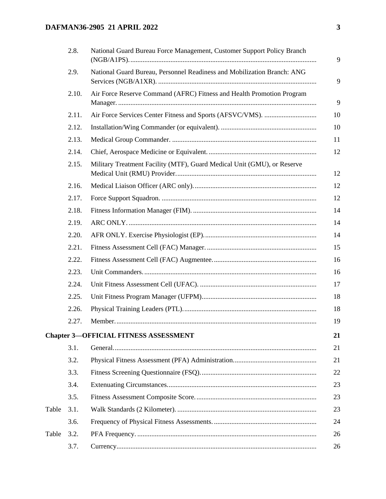# **DAFMAN36-2905 21 APRIL 2022 3**

|       | 2.8.  | National Guard Bureau Force Management, Customer Support Policy Branch  |
|-------|-------|-------------------------------------------------------------------------|
|       | 2.9.  | National Guard Bureau, Personnel Readiness and Mobilization Branch: ANG |
|       | 2.10. | Air Force Reserve Command (AFRC) Fitness and Health Promotion Program   |
|       | 2.11. |                                                                         |
|       | 2.12. |                                                                         |
|       | 2.13. |                                                                         |
|       | 2.14. |                                                                         |
|       | 2.15. | Military Treatment Facility (MTF), Guard Medical Unit (GMU), or Reserve |
|       | 2.16. |                                                                         |
|       | 2.17. |                                                                         |
|       | 2.18. |                                                                         |
|       | 2.19. |                                                                         |
|       | 2.20. |                                                                         |
|       | 2.21. |                                                                         |
|       | 2.22. |                                                                         |
|       | 2.23. |                                                                         |
|       | 2.24. |                                                                         |
|       | 2.25. |                                                                         |
|       | 2.26. |                                                                         |
|       | 2.27. |                                                                         |
|       |       | <b>Chapter 3-OFFICIAL FITNESS ASSESSMENT</b>                            |
|       | 3.1.  |                                                                         |
|       | 3.2.  |                                                                         |
|       | 3.3.  |                                                                         |
|       | 3.4.  |                                                                         |
|       | 3.5.  |                                                                         |
| Table | 3.1.  |                                                                         |
|       | 3.6.  |                                                                         |
| Table | 3.2.  |                                                                         |
|       | 3.7.  |                                                                         |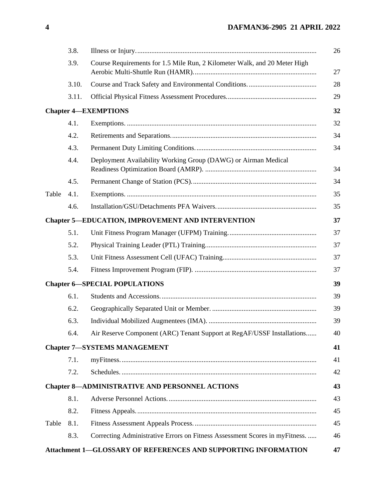|       | 3.8.  |                                                                             |
|-------|-------|-----------------------------------------------------------------------------|
|       | 3.9.  | Course Requirements for 1.5 Mile Run, 2 Kilometer Walk, and 20 Meter High   |
|       | 3.10. |                                                                             |
|       | 3.11. |                                                                             |
|       |       | <b>Chapter 4-EXEMPTIONS</b>                                                 |
|       | 4.1.  |                                                                             |
|       | 4.2.  |                                                                             |
|       | 4.3.  |                                                                             |
|       | 4.4.  | Deployment Availability Working Group (DAWG) or Airman Medical              |
|       | 4.5.  |                                                                             |
| Table | 4.1.  |                                                                             |
|       | 4.6.  |                                                                             |
|       |       | <b>Chapter 5-EDUCATION, IMPROVEMENT AND INTERVENTION</b>                    |
|       | 5.1.  |                                                                             |
|       | 5.2.  |                                                                             |
|       | 5.3.  |                                                                             |
|       | 5.4.  |                                                                             |
|       |       | <b>Chapter 6-SPECIAL POPULATIONS</b>                                        |
|       | 6.1.  |                                                                             |
|       | 6.2.  |                                                                             |
|       | 6.3.  |                                                                             |
|       | 6.4.  | Air Reserve Component (ARC) Tenant Support at RegAF/USSF Installations      |
|       |       | <b>Chapter 7-SYSTEMS MANAGEMENT</b>                                         |
|       | 7.1.  |                                                                             |
|       | 7.2.  |                                                                             |
|       |       | <b>Chapter 8-ADMINISTRATIVE AND PERSONNEL ACTIONS</b>                       |
|       | 8.1.  |                                                                             |
|       | 8.2.  |                                                                             |
| Table | 8.1.  |                                                                             |
|       | 8.3.  | Correcting Administrative Errors on Fitness Assessment Scores in myFitness. |
|       |       | Attachment 1-GLOSSARY OF REFERENCES AND SUPPORTING INFORMATION              |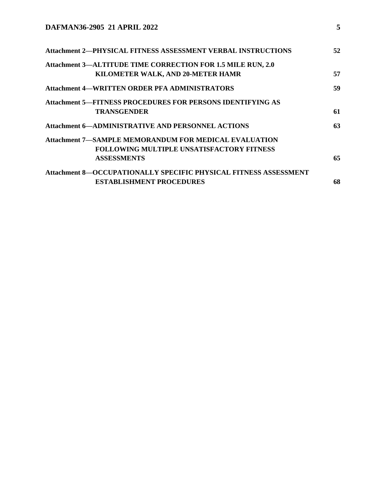| 52 |
|----|
|    |
| 57 |
| 59 |
|    |
| 61 |
| 63 |
|    |
|    |
| 65 |
|    |
| 68 |
|    |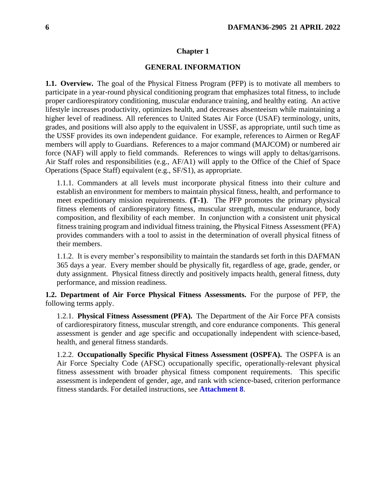#### **Chapter 1**

#### **GENERAL INFORMATION**

<span id="page-5-1"></span><span id="page-5-0"></span>**1.1. Overview.** The goal of the Physical Fitness Program (PFP) is to motivate all members to participate in a year-round physical conditioning program that emphasizes total fitness, to include proper cardiorespiratory conditioning, muscular endurance training, and healthy eating. An active lifestyle increases productivity, optimizes health, and decreases absenteeism while maintaining a higher level of readiness. All references to United States Air Force (USAF) terminology, units, grades, and positions will also apply to the equivalent in USSF, as appropriate, until such time as the USSF provides its own independent guidance. For example, references to Airmen or RegAF members will apply to Guardians. References to a major command (MAJCOM) or numbered air force (NAF) will apply to field commands. References to wings will apply to deltas/garrisons. Air Staff roles and responsibilities (e.g., AF/A1) will apply to the Office of the Chief of Space Operations (Space Staff) equivalent (e.g., SF/S1), as appropriate.

1.1.1. Commanders at all levels must incorporate physical fitness into their culture and establish an environment for members to maintain physical fitness, health, and performance to meet expeditionary mission requirements. **(T-1)**. The PFP promotes the primary physical fitness elements of cardiorespiratory fitness, muscular strength, muscular endurance, body composition, and flexibility of each member. In conjunction with a consistent unit physical fitness training program and individual fitness training, the Physical Fitness Assessment (PFA) provides commanders with a tool to assist in the determination of overall physical fitness of their members.

1.1.2. It is every member's responsibility to maintain the standards set forth in this DAFMAN 365 days a year. Every member should be physically fit, regardless of age, grade, gender, or duty assignment. Physical fitness directly and positively impacts health, general fitness, duty performance, and mission readiness.

<span id="page-5-2"></span>**1.2. Department of Air Force Physical Fitness Assessments.** For the purpose of PFP, the following terms apply.

1.2.1. **Physical Fitness Assessment (PFA).** The Department of the Air Force PFA consists of cardiorespiratory fitness, muscular strength, and core endurance components. This general assessment is gender and age specific and occupationally independent with science-based, health, and general fitness standards.

1.2.2. **Occupationally Specific Physical Fitness Assessment (OSPFA).** The OSPFA is an Air Force Specialty Code (AFSC) occupationally specific, operationally-relevant physical fitness assessment with broader physical fitness component requirements. This specific assessment is independent of gender, age, and rank with science-based, criterion performance fitness standards. For detailed instructions, see **[Attachment 8](#page-67-0)**.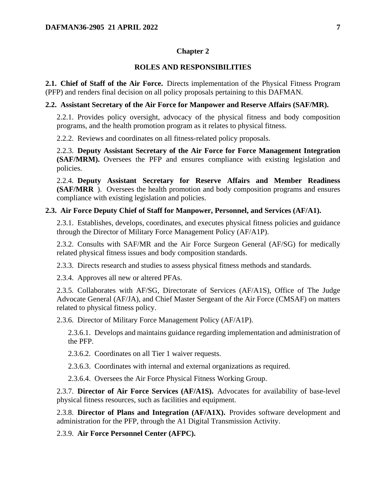### **Chapter 2**

#### **ROLES AND RESPONSIBILITIES**

<span id="page-6-1"></span><span id="page-6-0"></span>**2.1. Chief of Staff of the Air Force.** Directs implementation of the Physical Fitness Program (PFP) and renders final decision on all policy proposals pertaining to this DAFMAN.

#### <span id="page-6-2"></span>**2.2. Assistant Secretary of the Air Force for Manpower and Reserve Affairs (SAF/MR).**

2.2.1. Provides policy oversight, advocacy of the physical fitness and body composition programs, and the health promotion program as it relates to physical fitness.

2.2.2. Reviews and coordinates on all fitness-related policy proposals.

2.2.3. **Deputy Assistant Secretary of the Air Force for Force Management Integration (SAF/MRM).** Oversees the PFP and ensures compliance with existing legislation and policies.

2.2.4. **Deputy Assistant Secretary for Reserve Affairs and Member Readiness (SAF/MRR** ). Oversees the health promotion and body composition programs and ensures compliance with existing legislation and policies.

### <span id="page-6-3"></span>**2.3. Air Force Deputy Chief of Staff for Manpower, Personnel, and Services (AF/A1).**

2.3.1. Establishes, develops, coordinates, and executes physical fitness policies and guidance through the Director of Military Force Management Policy (AF/A1P).

2.3.2. Consults with SAF/MR and the Air Force Surgeon General (AF/SG) for medically related physical fitness issues and body composition standards.

2.3.3. Directs research and studies to assess physical fitness methods and standards.

2.3.4. Approves all new or altered PFAs.

2.3.5. Collaborates with AF/SG, Directorate of Services (AF/A1S), Office of The Judge Advocate General (AF/JA), and Chief Master Sergeant of the Air Force (CMSAF) on matters related to physical fitness policy.

2.3.6. Director of Military Force Management Policy (AF/A1P).

2.3.6.1. Develops and maintains guidance regarding implementation and administration of the PFP.

2.3.6.2. Coordinates on all Tier 1 waiver requests.

2.3.6.3. Coordinates with internal and external organizations as required.

2.3.6.4. Oversees the Air Force Physical Fitness Working Group.

2.3.7. **Director of Air Force Services (AF/A1S).** Advocates for availability of base-level physical fitness resources, such as facilities and equipment.

2.3.8. **Director of Plans and Integration (AF/A1X).** Provides software development and administration for the PFP, through the A1 Digital Transmission Activity.

2.3.9. **Air Force Personnel Center (AFPC).**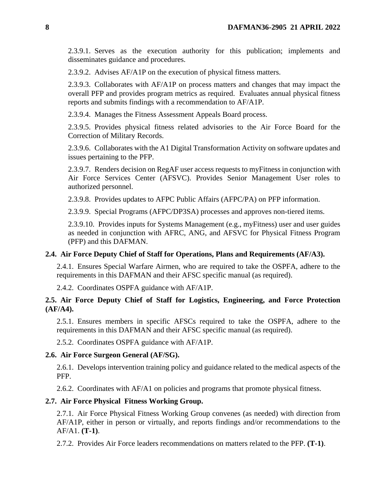2.3.9.1. Serves as the execution authority for this publication; implements and disseminates guidance and procedures.

2.3.9.2. Advises AF/A1P on the execution of physical fitness matters.

2.3.9.3. Collaborates with AF/A1P on process matters and changes that may impact the overall PFP and provides program metrics as required. Evaluates annual physical fitness reports and submits findings with a recommendation to AF/A1P.

2.3.9.4. Manages the Fitness Assessment Appeals Board process.

2.3.9.5. Provides physical fitness related advisories to the Air Force Board for the Correction of Military Records.

2.3.9.6. Collaborates with the A1 Digital Transformation Activity on software updates and issues pertaining to the PFP.

2.3.9.7. Renders decision on RegAF user access requests to myFitness in conjunction with Air Force Services Center (AFSVC). Provides Senior Management User roles to authorized personnel.

2.3.9.8. Provides updates to AFPC Public Affairs (AFPC/PA) on PFP information.

2.3.9.9. Special Programs (AFPC/DP3SA) processes and approves non-tiered items.

2.3.9.10. Provides inputs for Systems Management (e.g., myFitness) user and user guides as needed in conjunction with AFRC, ANG, and AFSVC for Physical Fitness Program (PFP) and this DAFMAN.

#### <span id="page-7-0"></span>**2.4. Air Force Deputy Chief of Staff for Operations, Plans and Requirements (AF/A3).**

2.4.1. Ensures Special Warfare Airmen, who are required to take the OSPFA, adhere to the requirements in this DAFMAN and their AFSC specific manual (as required).

2.4.2. Coordinates OSPFA guidance with AF/A1P.

### <span id="page-7-1"></span>**2.5. Air Force Deputy Chief of Staff for Logistics, Engineering, and Force Protection (AF/A4).**

2.5.1. Ensures members in specific AFSCs required to take the OSPFA, adhere to the requirements in this DAFMAN and their AFSC specific manual (as required).

2.5.2. Coordinates OSPFA guidance with AF/A1P.

#### <span id="page-7-2"></span>**2.6. Air Force Surgeon General (AF/SG).**

2.6.1. Develops intervention training policy and guidance related to the medical aspects of the PFP.

2.6.2. Coordinates with AF/A1 on policies and programs that promote physical fitness.

#### <span id="page-7-3"></span>**2.7. Air Force Physical Fitness Working Group.**

2.7.1. Air Force Physical Fitness Working Group convenes (as needed) with direction from AF/A1P, either in person or virtually, and reports findings and/or recommendations to the AF/A1. **(T-1)**.

2.7.2. Provides Air Force leaders recommendations on matters related to the PFP. **(T-1)**.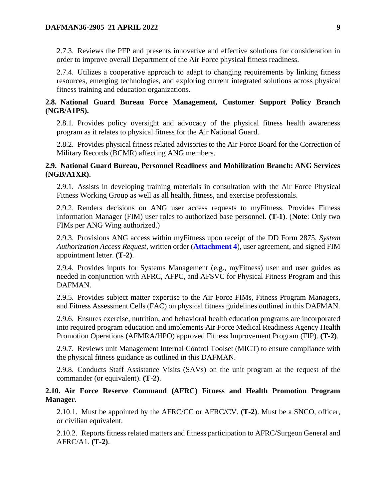2.7.3. Reviews the PFP and presents innovative and effective solutions for consideration in order to improve overall Department of the Air Force physical fitness readiness.

2.7.4. Utilizes a cooperative approach to adapt to changing requirements by linking fitness resources, emerging technologies, and exploring current integrated solutions across physical fitness training and education organizations.

### <span id="page-8-0"></span>**2.8. National Guard Bureau Force Management, Customer Support Policy Branch (NGB/A1PS).**

2.8.1. Provides policy oversight and advocacy of the physical fitness health awareness program as it relates to physical fitness for the Air National Guard.

2.8.2. Provides physical fitness related advisories to the Air Force Board for the Correction of Military Records (BCMR) affecting ANG members.

### <span id="page-8-1"></span>**2.9. National Guard Bureau, Personnel Readiness and Mobilization Branch: ANG Services (NGB/A1XR).**

2.9.1. Assists in developing training materials in consultation with the Air Force Physical Fitness Working Group as well as all health, fitness, and exercise professionals.

2.9.2. Renders decisions on ANG user access requests to myFitness. Provides Fitness Information Manager (FIM) user roles to authorized base personnel. **(T-1)**. (**Note**: Only two FIMs per ANG Wing authorized.)

2.9.3. Provisions ANG access within myFitness upon receipt of the DD Form 2875, *System Authorization Access Request*, written order (**[Attachment 4](#page-58-0)**), user agreement, and signed FIM appointment letter. **(T-2)**.

2.9.4. Provides inputs for Systems Management (e.g., myFitness) user and user guides as needed in conjunction with AFRC, AFPC, and AFSVC for Physical Fitness Program and this DAFMAN.

2.9.5. Provides subject matter expertise to the Air Force FIMs, Fitness Program Managers, and Fitness Assessment Cells (FAC) on physical fitness guidelines outlined in this DAFMAN.

2.9.6. Ensures exercise, nutrition, and behavioral health education programs are incorporated into required program education and implements Air Force Medical Readiness Agency Health Promotion Operations (AFMRA/HPO) approved Fitness Improvement Program (FIP). **(T-2)**.

2.9.7. Reviews unit Management Internal Control Toolset (MICT) to ensure compliance with the physical fitness guidance as outlined in this DAFMAN.

2.9.8. Conducts Staff Assistance Visits (SAVs) on the unit program at the request of the commander (or equivalent). **(T-2)**.

### <span id="page-8-2"></span>**2.10. Air Force Reserve Command (AFRC) Fitness and Health Promotion Program Manager.**

2.10.1. Must be appointed by the AFRC/CC or AFRC/CV. **(T-2)**. Must be a SNCO, officer, or civilian equivalent.

2.10.2. Reports fitness related matters and fitness participation to AFRC/Surgeon General and AFRC/A1. **(T-2)**.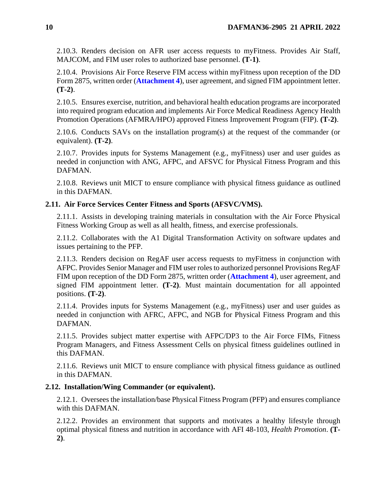2.10.3. Renders decision on AFR user access requests to myFitness. Provides Air Staff, MAJCOM, and FIM user roles to authorized base personnel. **(T-1)**.

2.10.4. Provisions Air Force Reserve FIM access within myFitness upon reception of the DD Form 2875, written order (**[Attachment 4](#page-58-0)**), user agreement, and signed FIM appointment letter. **(T-2)**.

2.10.5. Ensures exercise, nutrition, and behavioral health education programs are incorporated into required program education and implements Air Force Medical Readiness Agency Health Promotion Operations (AFMRA/HPO) approved Fitness Improvement Program (FIP). **(T-2)**.

2.10.6. Conducts SAVs on the installation program(s) at the request of the commander (or equivalent). **(T-2)**.

2.10.7. Provides inputs for Systems Management (e.g., myFitness) user and user guides as needed in conjunction with ANG, AFPC, and AFSVC for Physical Fitness Program and this DAFMAN.

2.10.8. Reviews unit MICT to ensure compliance with physical fitness guidance as outlined in this DAFMAN.

### <span id="page-9-0"></span>**2.11. Air Force Services Center Fitness and Sports (AFSVC/VMS).**

2.11.1. Assists in developing training materials in consultation with the Air Force Physical Fitness Working Group as well as all health, fitness, and exercise professionals.

2.11.2. Collaborates with the A1 Digital Transformation Activity on software updates and issues pertaining to the PFP.

2.11.3. Renders decision on RegAF user access requests to myFitness in conjunction with AFPC. Provides Senior Manager and FIM user roles to authorized personnel Provisions RegAF FIM upon reception of the DD Form 2875, written order (**[Attachment 4](#page-58-0)**), user agreement, and signed FIM appointment letter. **(T-2)**. Must maintain documentation for all appointed positions. **(T-2)**.

2.11.4. Provides inputs for Systems Management (e.g., myFitness) user and user guides as needed in conjunction with AFRC, AFPC, and NGB for Physical Fitness Program and this DAFMAN.

2.11.5. Provides subject matter expertise with AFPC/DP3 to the Air Force FIMs, Fitness Program Managers, and Fitness Assessment Cells on physical fitness guidelines outlined in this DAFMAN.

2.11.6. Reviews unit MICT to ensure compliance with physical fitness guidance as outlined in this DAFMAN.

### <span id="page-9-1"></span>**2.12. Installation/Wing Commander (or equivalent).**

2.12.1. Oversees the installation/base Physical Fitness Program (PFP) and ensures compliance with this DAFMAN.

2.12.2. Provides an environment that supports and motivates a healthy lifestyle through optimal physical fitness and nutrition in accordance with AFI 48-103, *Health Promotion*. **(T-2)**.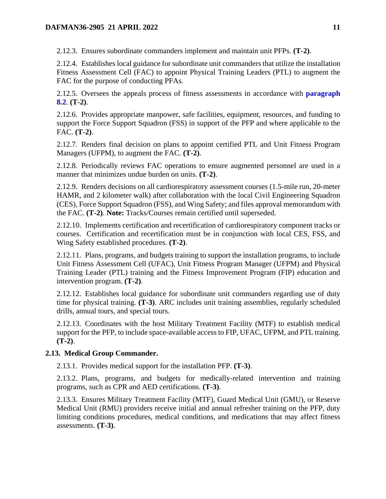2.12.3. Ensures subordinate commanders implement and maintain unit PFPs. **(T-2)**.

2.12.4. Establishes local guidance for subordinate unit commanders that utilize the installation Fitness Assessment Cell (FAC) to appoint Physical Training Leaders (PTL) to augment the FAC for the purpose of conducting PFAs.

2.12.5. Oversees the appeals process of fitness assessments in accordance with **[paragraph](#page-44-0)  [8.2](#page-44-0)**. **(T-2)**.

2.12.6. Provides appropriate manpower, safe facilities, equipment, resources, and funding to support the Force Support Squadron (FSS) in support of the PFP and where applicable to the FAC. **(T-2)**.

2.12.7. Renders final decision on plans to appoint certified PTL and Unit Fitness Program Managers (UFPM), to augment the FAC. **(T-2)**.

2.12.8. Periodically reviews FAC operations to ensure augmented personnel are used in a manner that minimizes undue burden on units. **(T-2)**.

2.12.9. Renders decisions on all cardiorespiratory assessment courses (1.5-mile run, 20-meter HAMR, and 2 kilometer walk) after collaboration with the local Civil Engineering Squadron (CES), Force Support Squadron (FSS), and Wing Safety; and files approval memorandum with the FAC. **(T-2)**. **Note:** Tracks/Courses remain certified until superseded.

2.12.10. Implements certification and recertification of cardiorespiratory component tracks or courses. Certification and recertification must be in conjunction with local CES, FSS, and Wing Safety established procedures. **(T-2)**.

2.12.11. Plans, programs, and budgets training to support the installation programs, to include Unit Fitness Assessment Cell (UFAC), Unit Fitness Program Manager (UFPM) and Physical Training Leader (PTL) training and the Fitness Improvement Program (FIP) education and intervention program. **(T-2)**.

2.12.12. Establishes local guidance for subordinate unit commanders regarding use of duty time for physical training. **(T-3)**. ARC includes unit training assemblies, regularly scheduled drills, annual tours, and special tours.

2.12.13. Coordinates with the host Military Treatment Facility (MTF) to establish medical support for the PFP, to include space-available access to FIP, UFAC, UFPM, and PTL training. **(T-2)**.

## <span id="page-10-0"></span>**2.13. Medical Group Commander.**

2.13.1. Provides medical support for the installation PFP. **(T-3)**.

2.13.2. Plans, programs, and budgets for medically-related intervention and training programs, such as CPR and AED certifications. **(T-3)**.

2.13.3. Ensures Military Treatment Facility (MTF), Guard Medical Unit (GMU), or Reserve Medical Unit (RMU) providers receive initial and annual refresher training on the PFP, duty limiting conditions procedures, medical conditions, and medications that may affect fitness assessments. **(T-3)**.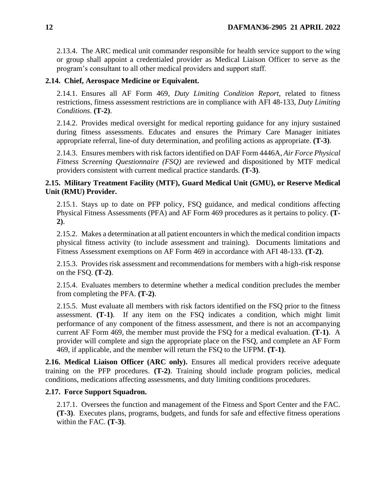2.13.4. The ARC medical unit commander responsible for health service support to the wing or group shall appoint a credentialed provider as Medical Liaison Officer to serve as the program's consultant to all other medical providers and support staff.

## <span id="page-11-0"></span>**2.14. Chief, Aerospace Medicine or Equivalent.**

2.14.1. Ensures all AF Form 469, *Duty Limiting Condition Report*, related to fitness restrictions, fitness assessment restrictions are in compliance with AFI 48-133, *Duty Limiting Conditions*. **(T-2)**.

2.14.2. Provides medical oversight for medical reporting guidance for any injury sustained during fitness assessments. Educates and ensures the Primary Care Manager initiates appropriate referral, line-of duty determination, and profiling actions as appropriate. **(T-3)**.

2.14.3. Ensures members with risk factors identified on DAF Form 4446A, *Air Force Physical Fitness Screening Questionnaire (FSQ)* are reviewed and dispositioned by MTF medical providers consistent with current medical practice standards. **(T-3)**.

## <span id="page-11-1"></span>**2.15. Military Treatment Facility (MTF), Guard Medical Unit (GMU), or Reserve Medical Unit (RMU) Provider.**

2.15.1. Stays up to date on PFP policy, FSQ guidance, and medical conditions affecting Physical Fitness Assessments (PFA) and AF Form 469 procedures as it pertains to policy. **(T-2)**.

2.15.2. Makes a determination at all patient encounters in which the medical condition impacts physical fitness activity (to include assessment and training). Documents limitations and Fitness Assessment exemptions on AF Form 469 in accordance with AFI 48-133. **(T-2)**.

2.15.3. Provides risk assessment and recommendations for members with a high-risk response on the FSQ. **(T-2)**.

2.15.4. Evaluates members to determine whether a medical condition precludes the member from completing the PFA. **(T-2)**.

2.15.5. Must evaluate all members with risk factors identified on the FSQ prior to the fitness assessment. **(T-1)**. If any item on the FSQ indicates a condition, which might limit performance of any component of the fitness assessment, and there is not an accompanying current AF Form 469, the member must provide the FSQ for a medical evaluation. **(T-1)**. A provider will complete and sign the appropriate place on the FSQ, and complete an AF Form 469, if applicable, and the member will return the FSQ to the UFPM. **(T-1)**.

<span id="page-11-2"></span>**2.16. Medical Liaison Officer (ARC only).** Ensures all medical providers receive adequate training on the PFP procedures. **(T-2)**. Training should include program policies, medical conditions, medications affecting assessments, and duty limiting conditions procedures.

## <span id="page-11-3"></span>**2.17. Force Support Squadron.**

2.17.1. Oversees the function and management of the Fitness and Sport Center and the FAC. **(T-3)**. Executes plans, programs, budgets, and funds for safe and effective fitness operations within the FAC. **(T-3)**.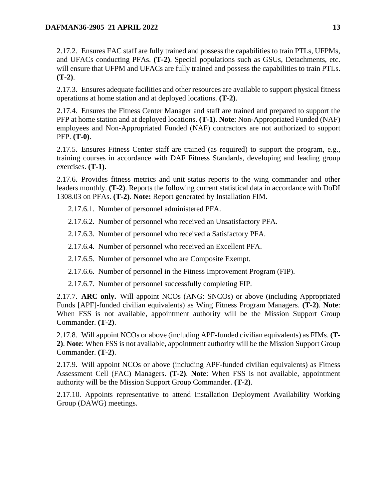2.17.2. Ensures FAC staff are fully trained and possess the capabilities to train PTLs, UFPMs, and UFACs conducting PFAs. **(T-2)**. Special populations such as GSUs, Detachments, etc. will ensure that UFPM and UFACs are fully trained and possess the capabilities to train PTLs. **(T-2)**.

2.17.3. Ensures adequate facilities and other resources are available to support physical fitness operations at home station and at deployed locations. **(T-2)**.

2.17.4. Ensures the Fitness Center Manager and staff are trained and prepared to support the PFP at home station and at deployed locations. **(T-1)**. **Note**: Non-Appropriated Funded (NAF) employees and Non-Appropriated Funded (NAF) contractors are not authorized to support PFP. **(T-0)**.

2.17.5. Ensures Fitness Center staff are trained (as required) to support the program, e.g., training courses in accordance with DAF Fitness Standards, developing and leading group exercises. **(T-1)**.

2.17.6. Provides fitness metrics and unit status reports to the wing commander and other leaders monthly. **(T-2)**. Reports the following current statistical data in accordance with DoDI 1308.03 on PFAs. **(T-2)**. **Note:** Report generated by Installation FIM.

- 2.17.6.1. Number of personnel administered PFA.
- 2.17.6.2. Number of personnel who received an Unsatisfactory PFA.
- 2.17.6.3. Number of personnel who received a Satisfactory PFA.
- 2.17.6.4. Number of personnel who received an Excellent PFA.
- 2.17.6.5. Number of personnel who are Composite Exempt.
- 2.17.6.6. Number of personnel in the Fitness Improvement Program (FIP).
- 2.17.6.7. Number of personnel successfully completing FIP.

2.17.7. **ARC only.** Will appoint NCOs (ANG: SNCOs) or above (including Appropriated Funds [APF]-funded civilian equivalents) as Wing Fitness Program Managers. **(T-2)**. **Note**: When FSS is not available, appointment authority will be the Mission Support Group Commander. **(T-2)**.

2.17.8. Will appoint NCOs or above (including APF-funded civilian equivalents) as FIMs. **(T-2)**. **Note**: When FSS is not available, appointment authority will be the Mission Support Group Commander. **(T-2)**.

2.17.9. Will appoint NCOs or above (including APF-funded civilian equivalents) as Fitness Assessment Cell (FAC) Managers. **(T-2)**. **Note**: When FSS is not available, appointment authority will be the Mission Support Group Commander. **(T-2)**.

<span id="page-12-0"></span>2.17.10. Appoints representative to attend Installation Deployment Availability Working Group (DAWG) meetings.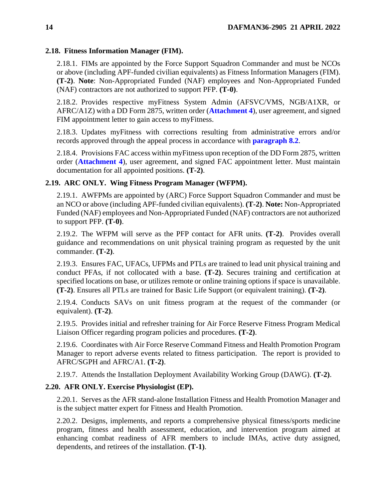### **2.18. Fitness Information Manager (FIM).**

2.18.1. FIMs are appointed by the Force Support Squadron Commander and must be NCOs or above (including APF-funded civilian equivalents) as Fitness Information Managers (FIM). **(T-2)**. **Note**: Non-Appropriated Funded (NAF) employees and Non-Appropriated Funded (NAF) contractors are not authorized to support PFP. **(T-0)**.

2.18.2. Provides respective myFitness System Admin (AFSVC/VMS, NGB/A1XR, or AFRC/A1Z) with a DD Form 2875, written order (**[Attachment 4](#page-58-0)**), user agreement, and signed FIM appointment letter to gain access to myFitness.

2.18.3. Updates myFitness with corrections resulting from administrative errors and/or records approved through the appeal process in accordance with **[paragraph 8.2](#page-44-0)**.

2.18.4. Provisions FAC access within myFitness upon reception of the DD Form 2875, written order (**[Attachment 4](#page-58-0)**), user agreement, and signed FAC appointment letter. Must maintain documentation for all appointed positions. **(T-2)**.

## <span id="page-13-0"></span>**2.19. ARC ONLY. Wing Fitness Program Manager (WFPM).**

2.19.1. AWFPMs are appointed by (ARC) Force Support Squadron Commander and must be an NCO or above (including APF-funded civilian equivalents). **(T-2)**. **Note:** Non-Appropriated Funded (NAF) employees and Non-Appropriated Funded (NAF) contractors are not authorized to support PFP. **(T-0)**.

2.19.2. The WFPM will serve as the PFP contact for AFR units. **(T-2)**. Provides overall guidance and recommendations on unit physical training program as requested by the unit commander. **(T-2)**.

2.19.3. Ensures FAC, UFACs, UFPMs and PTLs are trained to lead unit physical training and conduct PFAs, if not collocated with a base. **(T-2)**. Secures training and certification at specified locations on base, or utilizes remote or online training options if space is unavailable. **(T-2)**. Ensures all PTLs are trained for Basic Life Support (or equivalent training). **(T-2)**.

2.19.4. Conducts SAVs on unit fitness program at the request of the commander (or equivalent). **(T-2)**.

2.19.5. Provides initial and refresher training for Air Force Reserve Fitness Program Medical Liaison Officer regarding program policies and procedures. **(T-2)**.

2.19.6. Coordinates with Air Force Reserve Command Fitness and Health Promotion Program Manager to report adverse events related to fitness participation. The report is provided to AFRC/SGPH and AFRC/A1. **(T-2)**.

2.19.7. Attends the Installation Deployment Availability Working Group (DAWG). **(T-2)**.

## <span id="page-13-1"></span>**2.20. AFR ONLY. Exercise Physiologist (EP).**

2.20.1. Serves as the AFR stand-alone Installation Fitness and Health Promotion Manager and is the subject matter expert for Fitness and Health Promotion.

2.20.2. Designs, implements, and reports a comprehensive physical fitness/sports medicine program, fitness and health assessment, education, and intervention program aimed at enhancing combat readiness of AFR members to include IMAs, active duty assigned, dependents, and retirees of the installation. **(T-1)**.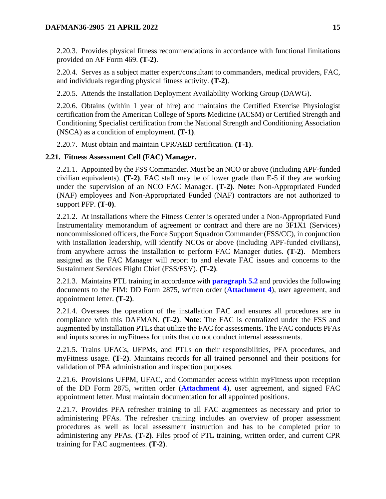2.20.3. Provides physical fitness recommendations in accordance with functional limitations provided on AF Form 469. **(T-2)**.

2.20.4. Serves as a subject matter expert/consultant to commanders, medical providers, FAC, and individuals regarding physical fitness activity. **(T-2)**.

2.20.5. Attends the Installation Deployment Availability Working Group (DAWG).

2.20.6. Obtains (within 1 year of hire) and maintains the Certified Exercise Physiologist certification from the American College of Sports Medicine (ACSM) or Certified Strength and Conditioning Specialist certification from the National Strength and Conditioning Association (NSCA) as a condition of employment. **(T-1)**.

2.20.7. Must obtain and maintain CPR/AED certification. **(T-1)**.

### <span id="page-14-0"></span>**2.21. Fitness Assessment Cell (FAC) Manager.**

2.21.1. Appointed by the FSS Commander. Must be an NCO or above (including APF-funded civilian equivalents). **(T-2)**. FAC staff may be of lower grade than E-5 if they are working under the supervision of an NCO FAC Manager. **(T-2)**. **Note:** Non-Appropriated Funded (NAF) employees and Non-Appropriated Funded (NAF) contractors are not authorized to support PFP. **(T-0)**.

2.21.2. At installations where the Fitness Center is operated under a Non-Appropriated Fund Instrumentality memorandum of agreement or contract and there are no 3F1X1 (Services) noncommissioned officers, the Force Support Squadron Commander (FSS/CC), in conjunction with installation leadership, will identify NCOs or above (including APF-funded civilians), from anywhere across the installation to perform FAC Manager duties. **(T-2)**. Members assigned as the FAC Manager will report to and elevate FAC issues and concerns to the Sustainment Services Flight Chief (FSS/FSV). **(T-2)**.

2.21.3. Maintains PTL training in accordance with **[paragraph 5.2](#page-36-2)** and provides the following documents to the FIM: DD Form 2875, written order (**[Attachment 4](#page-58-0)**), user agreement, and appointment letter. **(T-2)**.

2.21.4. Oversees the operation of the installation FAC and ensures all procedures are in compliance with this DAFMAN. **(T-2)**. **Note**: The FAC is centralized under the FSS and augmented by installation PTLs that utilize the FAC for assessments. The FAC conducts PFAs and inputs scores in myFitness for units that do not conduct internal assessments.

2.21.5. Trains UFACs, UFPMs, and PTLs on their responsibilities, PFA procedures, and myFitness usage. **(T-2)**. Maintains records for all trained personnel and their positions for validation of PFA administration and inspection purposes.

2.21.6. Provisions UFPM, UFAC, and Commander access within myFitness upon reception of the DD Form 2875, written order (**[Attachment 4](#page-58-0)**), user agreement, and signed FAC appointment letter. Must maintain documentation for all appointed positions.

2.21.7. Provides PFA refresher training to all FAC augmentees as necessary and prior to administering PFAs. The refresher training includes an overview of proper assessment procedures as well as local assessment instruction and has to be completed prior to administering any PFAs. **(T-2)**. Files proof of PTL training, written order, and current CPR training for FAC augmentees. **(T-2)**.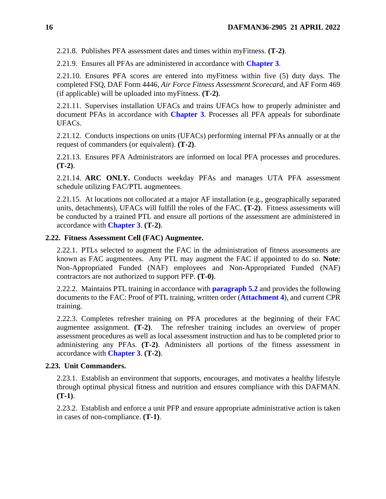2.21.8. Publishes PFA assessment dates and times within myFitness. **(T-2)**.

2.21.9. Ensures all PFAs are administered in accordance with **[Chapter 3](#page-20-0)**.

2.21.10. Ensures PFA scores are entered into myFitness within five (5) duty days. The completed FSQ, DAF Form 4446, *Air Force Fitness Assessment Scorecard,* and AF Form 469 (if applicable) will be uploaded into myFitness. **(T-2)**.

2.21.11. Supervises installation UFACs and trains UFACs how to properly administer and document PFAs in accordance with **[Chapter 3](#page-20-0)**. Processes all PFA appeals for subordinate UFACs.

2.21.12. Conducts inspections on units (UFACs) performing internal PFAs annually or at the request of commanders (or equivalent). **(T-2)**.

2.21.13. Ensures PFA Administrators are informed on local PFA processes and procedures. **(T-2)**.

2.21.14. **ARC ONLY.** Conducts weekday PFAs and manages UTA PFA assessment schedule utilizing FAC/PTL augmentees.

2.21.15. At locations not collocated at a major AF installation (e.g., geographically separated units, detachments), UFACs will fulfill the roles of the FAC. **(T-2)**. Fitness assessments will be conducted by a trained PTL and ensure all portions of the assessment are administered in accordance with **[Chapter 3](#page-20-0)**. **(T-2)**.

### <span id="page-15-0"></span>**2.22. Fitness Assessment Cell (FAC) Augmentee.**

2.22.1. PTLs selected to augment the FAC in the administration of fitness assessments are known as FAC augmentees. Any PTL may augment the FAC if appointed to do so. **Note**: Non-Appropriated Funded (NAF) employees and Non-Appropriated Funded (NAF) contractors are not authorized to support PFP. **(T-0)**.

2.22.2. Maintains PTL training in accordance with **[paragraph 5.2](#page-36-2)** and provides the following documents to the FAC: Proof of PTL training, written order (**[Attachment 4](#page-58-0)**), and current CPR training.

2.22.3. Completes refresher training on PFA procedures at the beginning of their FAC augmentee assignment. **(T-2)**. The refresher training includes an overview of proper assessment procedures as well as local assessment instruction and has to be completed prior to administering any PFAs. **(T-2)**. Administers all portions of the fitness assessment in accordance with **[Chapter 3](#page-20-0)**. **(T-2)**.

### <span id="page-15-1"></span>**2.23. Unit Commanders.**

2.23.1. Establish an environment that supports, encourages, and motivates a healthy lifestyle through optimal physical fitness and nutrition and ensures compliance with this DAFMAN. **(T-1)**.

2.23.2. Establish and enforce a unit PFP and ensure appropriate administrative action is taken in cases of non-compliance. **(T-1)**.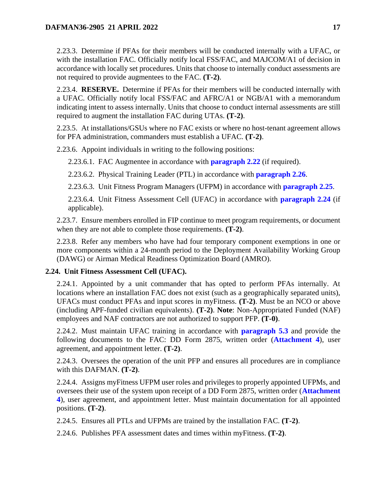2.23.3. Determine if PFAs for their members will be conducted internally with a UFAC, or with the installation FAC. Officially notify local FSS/FAC, and MAJCOM/A1 of decision in accordance with locally set procedures. Units that choose to internally conduct assessments are not required to provide augmentees to the FAC. **(T-2)**.

2.23.4. **RESERVE.** Determine if PFAs for their members will be conducted internally with a UFAC. Officially notify local FSS/FAC and AFRC/A1 or NGB/A1 with a memorandum indicating intent to assess internally. Units that choose to conduct internal assessments are still required to augment the installation FAC during UTAs. **(T-2)**.

2.23.5. At installations/GSUs where no FAC exists or where no host-tenant agreement allows for PFA administration, commanders must establish a UFAC. **(T-2)**.

2.23.6. Appoint individuals in writing to the following positions:

2.23.6.1. FAC Augmentee in accordance with **[paragraph 2.22](#page-15-0)** (if required).

2.23.6.2. Physical Training Leader (PTL) in accordance with **[paragraph 2.26](#page-17-1)**.

2.23.6.3. Unit Fitness Program Managers (UFPM) in accordance with **[paragraph 2.25](#page-17-0)**.

2.23.6.4. Unit Fitness Assessment Cell (UFAC) in accordance with **[paragraph 2.24](#page-16-0)** (if applicable).

2.23.7. Ensure members enrolled in FIP continue to meet program requirements, or document when they are not able to complete those requirements. **(T-2)**.

2.23.8. Refer any members who have had four temporary component exemptions in one or more components within a 24-month period to the Deployment Availability Working Group (DAWG) or Airman Medical Readiness Optimization Board (AMRO).

### <span id="page-16-0"></span>**2.24. Unit Fitness Assessment Cell (UFAC).**

2.24.1. Appointed by a unit commander that has opted to perform PFAs internally. At locations where an installation FAC does not exist (such as a geographically separated units), UFACs must conduct PFAs and input scores in myFitness. **(T-2)**. Must be an NCO or above (including APF-funded civilian equivalents). **(T-2)**. **Note**: Non-Appropriated Funded (NAF) employees and NAF contractors are not authorized to support PFP. **(T-0)**.

2.24.2. Must maintain UFAC training in accordance with **[paragraph 5.3](#page-36-3)** and provide the following documents to the FAC: DD Form 2875, written order (**[Attachment 4](#page-58-0)**), user agreement, and appointment letter. **(T-2)**.

2.24.3. Oversees the operation of the unit PFP and ensures all procedures are in compliance with this DAFMAN. **(T-2)**.

2.24.4. Assigns myFitness UFPM user roles and privileges to properly appointed UFPMs, and oversees their use of the system upon receipt of a DD Form 2875, written order (**[Attachment](#page-58-0)  [4](#page-58-0)**), user agreement, and appointment letter. Must maintain documentation for all appointed positions. **(T-2)**.

2.24.5. Ensures all PTLs and UFPMs are trained by the installation FAC. **(T-2)**.

2.24.6. Publishes PFA assessment dates and times within myFitness. **(T-2)**.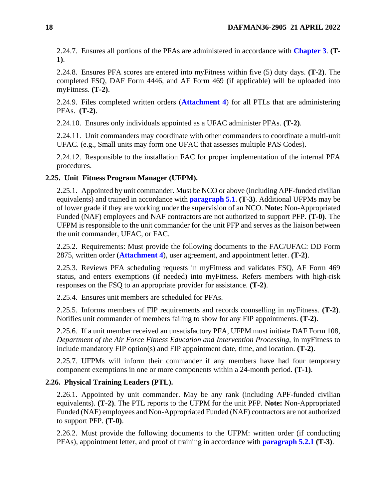2.24.7. Ensures all portions of the PFAs are administered in accordance with **[Chapter 3](#page-20-0)**. **(T-1)**.

2.24.8. Ensures PFA scores are entered into myFitness within five (5) duty days. **(T-2)**. The completed FSQ, DAF Form 4446, and AF Form 469 (if applicable) will be uploaded into myFitness. **(T-2)**.

2.24.9. Files completed written orders (**[Attachment 4](#page-58-0)**) for all PTLs that are administering PFAs. **(T-2)**.

2.24.10. Ensures only individuals appointed as a UFAC administer PFAs. **(T-2)**.

2.24.11. Unit commanders may coordinate with other commanders to coordinate a multi-unit UFAC. (e.g., Small units may form one UFAC that assesses multiple PAS Codes).

2.24.12. Responsible to the installation FAC for proper implementation of the internal PFA procedures.

## <span id="page-17-0"></span>**2.25. Unit Fitness Program Manager (UFPM).**

2.25.1. Appointed by unit commander. Must be NCO or above (including APF-funded civilian equivalents) and trained in accordance with **[paragraph 5.1](#page-36-1)**. **(T-3)**. Additional UFPMs may be of lower grade if they are working under the supervision of an NCO. **Note:** Non-Appropriated Funded (NAF) employees and NAF contractors are not authorized to support PFP. **(T-0)**. The UFPM is responsible to the unit commander for the unit PFP and serves as the liaison between the unit commander, UFAC, or FAC.

2.25.2. Requirements: Must provide the following documents to the FAC/UFAC: DD Form 2875, written order (**[Attachment 4](#page-58-0)**), user agreement, and appointment letter. **(T-2)**.

2.25.3. Reviews PFA scheduling requests in myFitness and validates FSQ, AF Form 469 status, and enters exemptions (if needed) into myFitness. Refers members with high-risk responses on the FSQ to an appropriate provider for assistance. **(T-2)**.

2.25.4. Ensures unit members are scheduled for PFAs.

2.25.5. Informs members of FIP requirements and records counselling in myFitness. **(T-2)**. Notifies unit commander of members failing to show for any FIP appointments. **(T-2)**.

2.25.6. If a unit member received an unsatisfactory PFA, UFPM must initiate DAF Form 108, *Department of the Air Force Fitness Education and Intervention Processing,* in myFitness to include mandatory FIP option(s) and FIP appointment date, time, and location. **(T-2)**.

2.25.7. UFPMs will inform their commander if any members have had four temporary component exemptions in one or more components within a 24-month period. **(T-1)**.

### <span id="page-17-1"></span>**2.26. Physical Training Leaders (PTL).**

2.26.1. Appointed by unit commander. May be any rank (including APF-funded civilian equivalents). **(T-2)**. The PTL reports to the UFPM for the unit PFP. **Note:** Non-Appropriated Funded (NAF) employees and Non-Appropriated Funded (NAF) contractors are not authorized to support PFP. **(T-0)**.

2.26.2. Must provide the following documents to the UFPM: written order (if conducting PFAs), appointment letter, and proof of training in accordance with **[paragraph 5.2.1](#page-36-5) (T-3)**.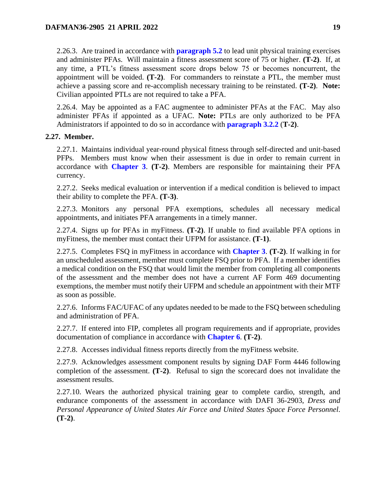2.26.3. Are trained in accordance with **[paragraph 5.2](#page-36-2)** to lead unit physical training exercises and administer PFAs. Will maintain a fitness assessment score of 75 or higher. **(T-2)**. If, at any time, a PTL's fitness assessment score drops below 75 or becomes noncurrent, the appointment will be voided. **(T-2)**. For commanders to reinstate a PTL, the member must achieve a passing score and re-accomplish necessary training to be reinstated. **(T-2)**. **Note:** Civilian appointed PTLs are not required to take a PFA.

2.26.4. May be appointed as a FAC augmentee to administer PFAs at the FAC. May also administer PFAs if appointed as a UFAC. **Note:** PTLs are only authorized to be PFA Administrators if appointed to do so in accordance with **[paragraph 3.2.2](#page-20-3)** (**T-2)**.

### <span id="page-18-0"></span>**2.27. Member.**

2.27.1. Maintains individual year-round physical fitness through self-directed and unit-based PFPs. Members must know when their assessment is due in order to remain current in accordance with **[Chapter 3](#page-20-0)**. **(T-2)**. Members are responsible for maintaining their PFA currency.

2.27.2. Seeks medical evaluation or intervention if a medical condition is believed to impact their ability to complete the PFA. **(T-3)**.

2.27.3. Monitors any personal PFA exemptions, schedules all necessary medical appointments, and initiates PFA arrangements in a timely manner.

2.27.4. Signs up for PFAs in myFitness. **(T-2)**. If unable to find available PFA options in myFitness, the member must contact their UFPM for assistance. **(T-1)**.

2.27.5. Completes FSQ in myFitness in accordance with **[Chapter 3](#page-20-0)**. **(T-2)**. If walking in for an unscheduled assessment, member must complete FSQ prior to PFA. If a member identifies a medical condition on the FSQ that would limit the member from completing all components of the assessment and the member does not have a current AF Form 469 documenting exemptions, the member must notify their UFPM and schedule an appointment with their MTF as soon as possible.

2.27.6. Informs FAC/UFAC of any updates needed to be made to the FSQ between scheduling and administration of PFA.

2.27.7. If entered into FIP, completes all program requirements and if appropriate, provides documentation of compliance in accordance with **[Chapter 6](#page-38-0)**. **(T-2)**.

2.27.8. Accesses individual fitness reports directly from the myFitness website.

2.27.9. Acknowledges assessment component results by signing DAF Form 4446 following completion of the assessment. **(T-2)**. Refusal to sign the scorecard does not invalidate the assessment results.

2.27.10. Wears the authorized physical training gear to complete cardio, strength, and endurance components of the assessment in accordance with DAFI 36-2903, *Dress and Personal Appearance of United States Air Force and United States Space Force Personnel*. **(T-2)**.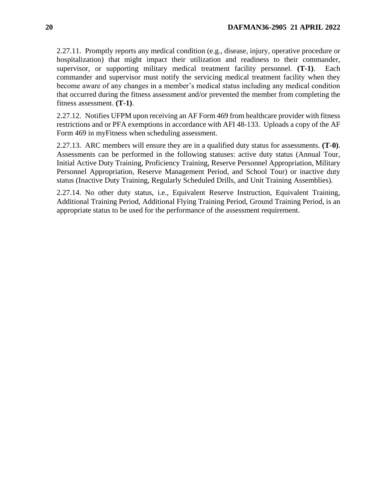2.27.11. Promptly reports any medical condition (e.g., disease, injury, operative procedure or hospitalization) that might impact their utilization and readiness to their commander, supervisor, or supporting military medical treatment facility personnel. **(T-1)**. Each commander and supervisor must notify the servicing medical treatment facility when they become aware of any changes in a member's medical status including any medical condition that occurred during the fitness assessment and/or prevented the member from completing the fitness assessment. **(T-1)**.

2.27.12. Notifies UFPM upon receiving an AF Form 469 from healthcare provider with fitness restrictions and or PFA exemptions in accordance with AFI 48-133. Uploads a copy of the AF Form 469 in myFitness when scheduling assessment.

2.27.13. ARC members will ensure they are in a qualified duty status for assessments. **(T-0)**. Assessments can be performed in the following statuses: active duty status (Annual Tour, Initial Active Duty Training, Proficiency Training, Reserve Personnel Appropriation, Military Personnel Appropriation, Reserve Management Period, and School Tour) or inactive duty status (Inactive Duty Training, Regularly Scheduled Drills, and Unit Training Assemblies).

2.27.14. No other duty status, i.e., Equivalent Reserve Instruction, Equivalent Training, Additional Training Period, Additional Flying Training Period, Ground Training Period, is an appropriate status to be used for the performance of the assessment requirement.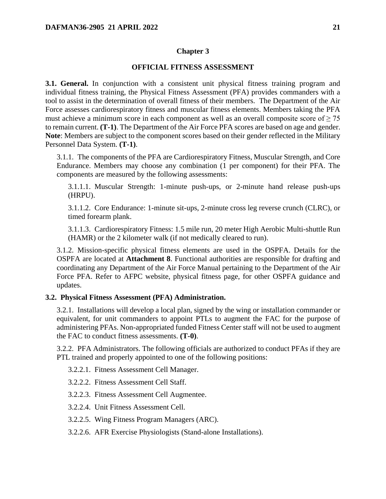### **Chapter 3**

#### **OFFICIAL FITNESS ASSESSMENT**

<span id="page-20-1"></span><span id="page-20-0"></span>**3.1. General.** In conjunction with a consistent unit physical fitness training program and individual fitness training, the Physical Fitness Assessment (PFA) provides commanders with a tool to assist in the determination of overall fitness of their members. The Department of the Air Force assesses cardiorespiratory fitness and muscular fitness elements. Members taking the PFA must achieve a minimum score in each component as well as an overall composite score of  $\geq$  75 to remain current. **(T-1)**. The Department of the Air Force PFA scores are based on age and gender. **Note**: Members are subject to the component scores based on their gender reflected in the Military Personnel Data System. **(T-1)**.

3.1.1. The components of the PFA are Cardiorespiratory Fitness, Muscular Strength, and Core Endurance. Members may choose any combination (1 per component) for their PFA. The components are measured by the following assessments:

3.1.1.1. Muscular Strength: 1-minute push-ups, or 2-minute hand release push-ups (HRPU).

3.1.1.2. Core Endurance: 1-minute sit-ups, 2-minute cross leg reverse crunch (CLRC), or timed forearm plank.

3.1.1.3. Cardiorespiratory Fitness: 1.5 mile run, 20 meter High Aerobic Multi-shuttle Run (HAMR) or the 2 kilometer walk (if not medically cleared to run).

3.1.2. Mission-specific physical fitness elements are used in the OSPFA. Details for the OSPFA are located at **Attachment 8**. Functional authorities are responsible for drafting and coordinating any Department of the Air Force Manual pertaining to the Department of the Air Force PFA. Refer to AFPC website, physical fitness page, for other OSPFA guidance and updates.

### <span id="page-20-2"></span>**3.2. Physical Fitness Assessment (PFA) Administration.**

3.2.1. Installations will develop a local plan, signed by the wing or installation commander or equivalent, for unit commanders to appoint PTLs to augment the FAC for the purpose of administering PFAs. Non-appropriated funded Fitness Center staff will not be used to augment the FAC to conduct fitness assessments. **(T-0)**.

<span id="page-20-3"></span>3.2.2. PFA Administrators. The following officials are authorized to conduct PFAs if they are PTL trained and properly appointed to one of the following positions:

3.2.2.1. Fitness Assessment Cell Manager.

3.2.2.2. Fitness Assessment Cell Staff.

3.2.2.3. Fitness Assessment Cell Augmentee.

3.2.2.4. Unit Fitness Assessment Cell.

3.2.2.5. Wing Fitness Program Managers (ARC).

3.2.2.6. AFR Exercise Physiologists (Stand-alone Installations).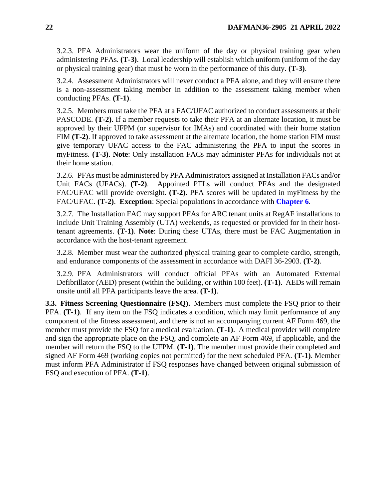3.2.3. PFA Administrators wear the uniform of the day or physical training gear when administering PFAs. **(T-3)**. Local leadership will establish which uniform (uniform of the day or physical training gear) that must be worn in the performance of this duty. **(T-3)**.

3.2.4. Assessment Administrators will never conduct a PFA alone, and they will ensure there is a non-assessment taking member in addition to the assessment taking member when conducting PFAs. **(T-1)**.

<span id="page-21-2"></span>3.2.5. Members must take the PFA at a FAC/UFAC authorized to conduct assessments at their PASCODE. **(T-2)**. If a member requests to take their PFA at an alternate location, it must be approved by their UFPM (or supervisor for IMAs) and coordinated with their home station FIM **(T-2)**. If approved to take assessment at the alternate location, the home station FIM must give temporary UFAC access to the FAC administering the PFA to input the scores in myFitness. **(T-3)**. **Note**: Only installation FACs may administer PFAs for individuals not at their home station.

3.2.6. PFAs must be administered by PFA Administrators assigned at Installation FACs and/or Unit FACs (UFACs). **(T-2)**. Appointed PTLs will conduct PFAs and the designated FAC/UFAC will provide oversight. **(T-2)**. PFA scores will be updated in myFitness by the FAC/UFAC. **(T-2)**. **Exception**: Special populations in accordance with **[Chapter 6](#page-38-0)**.

3.2.7. The Installation FAC may support PFAs for ARC tenant units at RegAF installations to include Unit Training Assembly (UTA) weekends, as requested or provided for in their hosttenant agreements. **(T-1)**. **Note**: During these UTAs, there must be FAC Augmentation in accordance with the host-tenant agreement.

3.2.8. Member must wear the authorized physical training gear to complete cardio, strength, and endurance components of the assessment in accordance with DAFI 36-2903. **(T-2)**.

3.2.9. PFA Administrators will conduct official PFAs with an Automated External Defibrillator (AED) present (within the building, or within 100 feet). **(T-1)**. AEDs will remain onsite until all PFA participants leave the area. **(T-1)**.

<span id="page-21-1"></span><span id="page-21-0"></span>**3.3. Fitness Screening Questionnaire (FSQ).** Members must complete the FSQ prior to their PFA. **(T-1)**. If any item on the FSQ indicates a condition, which may limit performance of any component of the fitness assessment, and there is not an accompanying current AF Form 469, the member must provide the FSQ for a medical evaluation. **(T-1)**. A medical provider will complete and sign the appropriate place on the FSQ, and complete an AF Form 469, if applicable, and the member will return the FSQ to the UFPM. **(T-1)**. The member must provide their completed and signed AF Form 469 (working copies not permitted) for the next scheduled PFA. **(T-1)**. Member must inform PFA Administrator if FSQ responses have changed between original submission of FSQ and execution of PFA. **(T-1)**.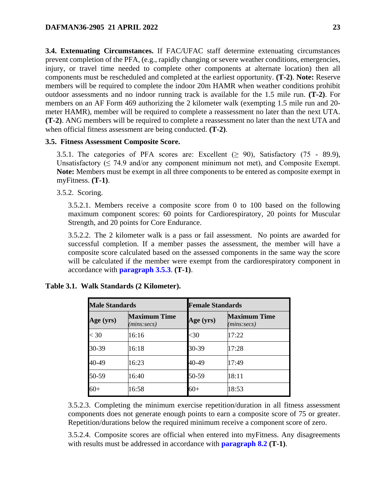**3.4. Extenuating Circumstances.** If FAC/UFAC staff determine extenuating circumstances prevent completion of the PFA, (e.g., rapidly changing or severe weather conditions, emergencies, injury, or travel time needed to complete other components at alternate location) then all components must be rescheduled and completed at the earliest opportunity. **(T-2)**. **Note:** Reserve members will be required to complete the indoor 20m HAMR when weather conditions prohibit outdoor assessments and no indoor running track is available for the 1.5 mile run. **(T-2)**. For members on an AF Form 469 authorizing the 2 kilometer walk (exempting 1.5 mile run and 20 meter HAMR), member will be required to complete a reassessment no later than the next UTA. **(T-2)**. ANG members will be required to complete a reassessment no later than the next UTA and when official fitness assessment are being conducted. **(T-2)**.

### <span id="page-22-1"></span>**3.5. Fitness Assessment Composite Score.**

3.5.1. The categories of PFA scores are: Excellent  $(\geq 90)$ , Satisfactory (75 - 89.9), Unsatisfactory  $( \leq 74.9 \text{ and/or any component minimum not met}),$  and Composite Exempt. **Note:** Members must be exempt in all three components to be entered as composite exempt in myFitness. **(T-1)**.

3.5.2. Scoring.

3.5.2.1. Members receive a composite score from 0 to 100 based on the following maximum component scores: 60 points for Cardiorespiratory, 20 points for Muscular Strength, and 20 points for Core Endurance.

3.5.2.2. The 2 kilometer walk is a pass or fail assessment. No points are awarded for successful completion. If a member passes the assessment, the member will have a composite score calculated based on the assessed components in the same way the score will be calculated if the member were exempt from the cardiorespiratory component in accordance with **[paragraph 3.5.3](#page-23-1)**. **(T-1)**.

| <b>Male Standards</b> |                                    |           | <b>Female Standards</b>            |  |  |
|-----------------------|------------------------------------|-----------|------------------------------------|--|--|
| Age (yrs)             | <b>Maximum Time</b><br>(mins:secs) | Age (yrs) | <b>Maximum Time</b><br>(mins:secs) |  |  |
| $<$ 30                | 16:16                              | $30$      | 17:22                              |  |  |
| 30-39                 | 16:18                              | 30-39     | 17:28                              |  |  |
| 40-49                 | 16:23                              | 40-49     | 17:49                              |  |  |
| 50-59                 | 16:40                              | 50-59     | 18:11                              |  |  |
| $60+$                 | 16:58                              | 60+       | 18:53                              |  |  |

#### <span id="page-22-0"></span>**Table 3.1. Walk Standards (2 Kilometer).**

3.5.2.3. Completing the minimum exercise repetition/duration in all fitness assessment components does not generate enough points to earn a composite score of 75 or greater. Repetition/durations below the required minimum receive a component score of zero.

3.5.2.4. Composite scores are official when entered into myFitness. Any disagreements with results must be addressed in accordance with **[paragraph 8.2](#page-44-0) (T-1)**.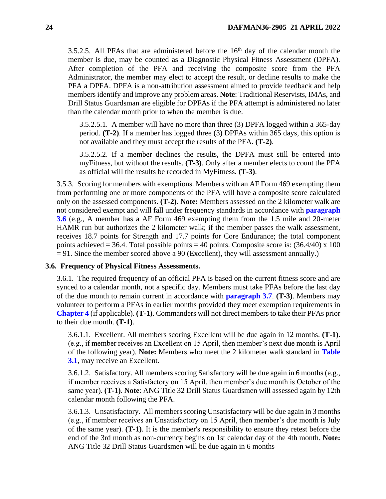3.5.2.5. All PFAs that are administered before the  $16<sup>th</sup>$  day of the calendar month the member is due, may be counted as a Diagnostic Physical Fitness Assessment (DPFA). After completion of the PFA and receiving the composite score from the PFA Administrator, the member may elect to accept the result, or decline results to make the PFA a DPFA. DPFA is a non-attribution assessment aimed to provide feedback and help members identify and improve any problem areas. **Note**: Traditional Reservists, IMAs, and Drill Status Guardsman are eligible for DPFAs if the PFA attempt is administered no later than the calendar month prior to when the member is due.

3.5.2.5.1. A member will have no more than three (3) DPFA logged within a 365-day period. **(T-2)**. If a member has logged three (3) DPFAs within 365 days, this option is not available and they must accept the results of the PFA. **(T-2)**.

3.5.2.5.2. If a member declines the results, the DPFA must still be entered into myFitness, but without the results. **(T-3)**. Only after a member elects to count the PFA as official will the results be recorded in MyFitness. **(T-3)**.

<span id="page-23-1"></span>3.5.3. Scoring for members with exemptions. Members with an AF Form 469 exempting them from performing one or more components of the PFA will have a composite score calculated only on the assessed components. **(T-2)**. **Note:** Members assessed on the 2 kilometer walk are not considered exempt and will fall under frequency standards in accordance with **[paragraph](#page-23-0)  [3.6](#page-23-0)** (e.g., A member has a AF Form 469 exempting them from the 1.5 mile and 20-meter HAMR run but authorizes the 2 kilometer walk; if the member passes the walk assessment, receives 18.7 points for Strength and 17.7 points for Core Endurance; the total component points achieved = 36.4. Total possible points = 40 points. Composite score is:  $(36.4/40)$  x 100 = 91. Since the member scored above a 90 (Excellent), they will assessment annually.)

#### <span id="page-23-0"></span>**3.6. Frequency of Physical Fitness Assessments.**

3.6.1. The required frequency of an official PFA is based on the current fitness score and are synced to a calendar month, not a specific day. Members must take PFAs before the last day of the due month to remain current in accordance with **[paragraph 3.7](#page-25-0)**. **(T-3)**. Members may volunteer to perform a PFAs in earlier months provided they meet exemption requirements in **[Chapter 4](#page-31-0)** (if applicable). **(T-1)**. Commanders will not direct members to take their PFAs prior to their due month. **(T-1)**.

3.6.1.1. Excellent. All members scoring Excellent will be due again in 12 months. **(T-1)**. (e.g., if member receives an Excellent on 15 April, then member's next due month is April of the following year). **Note:** Members who meet the 2 kilometer walk standard in **[Table](#page-22-0)  [3.1](#page-22-0)**, may receive an Excellent.

3.6.1.2. Satisfactory. All members scoring Satisfactory will be due again in 6 months (e.g., if member receives a Satisfactory on 15 April, then member's due month is October of the same year). **(T-1)**. **Note**: ANG Title 32 Drill Status Guardsmen will assessed again by 12th calendar month following the PFA.

3.6.1.3. Unsatisfactory. All members scoring Unsatisfactory will be due again in 3 months (e.g., if member receives an Unsatisfactory on 15 April, then member's due month is July of the same year). **(T-1)**. It is the member's responsibility to ensure they retest before the end of the 3rd month as non-currency begins on 1st calendar day of the 4th month. **Note:** ANG Title 32 Drill Status Guardsmen will be due again in 6 months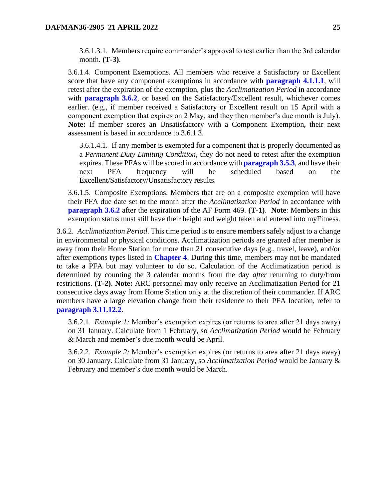3.6.1.3.1. Members require commander's approval to test earlier than the 3rd calendar month. **(T-3)**.

3.6.1.4. Component Exemptions. All members who receive a Satisfactory or Excellent score that have any component exemptions in accordance with **[paragraph 4.1.1.1](#page-31-2)**, will retest after the expiration of the exemption, plus the *Acclimatization Period* in accordance with **[paragraph 3.6.2](#page-24-1)**, or based on the Satisfactory/Excellent result, whichever comes earlier. (e.g., if member received a Satisfactory or Excellent result on 15 April with a component exemption that expires on 2 May, and they then member's due month is July). **Note:** If member scores an Unsatisfactory with a Component Exemption, their next assessment is based in accordance to 3.6.1.3.

3.6.1.4.1. If any member is exempted for a component that is properly documented as a *Permanent Duty Limiting Condition,* they do not need to retest after the exemption expires. These PFAs will be scored in accordance with **[paragraph 3.5.3](#page-23-1)**, and have their next PFA frequency will be scheduled based on the Excellent/Satisfactory/Unsatisfactory results.

3.6.1.5. Composite Exemptions. Members that are on a composite exemption will have their PFA due date set to the month after the *Acclimatization Period* in accordance with **[paragraph 3.6.2](#page-24-1)** after the expiration of the AF Form 469. **(T-1)**. **Note**: Members in this exemption status must still have their height and weight taken and entered into myFitness.

<span id="page-24-1"></span>3.6.2. *Acclimatization Period*. This time period is to ensure members safely adjust to a change in environmental or physical conditions. Acclimatization periods are granted after member is away from their Home Station for more than 21 consecutive days (e.g., travel, leave), and/or after exemptions types listed in **[Chapter 4](#page-31-0)**. During this time, members may not be mandated to take a PFA but may volunteer to do so. Calculation of the Acclimatization period is determined by counting the 3 calendar months from the day *after* returning to duty/from restrictions. **(T-2)**. **Note:** ARC personnel may only receive an Acclimatization Period for 21 consecutive days away from Home Station only at the discretion of their commander. If ARC members have a large elevation change from their residence to their PFA location, refer to **[paragraph 3.11.12.2](#page-29-0)**.

3.6.2.1. *Example 1:* Member's exemption expires (or returns to area after 21 days away) on 31 January. Calculate from 1 February, so *Acclimatization Period* would be February & March and member's due month would be April.

<span id="page-24-0"></span>3.6.2.2. *Example 2:* Member's exemption expires (or returns to area after 21 days away) on 30 January. Calculate from 31 January, so *Acclimatization Period* would be January & February and member's due month would be March.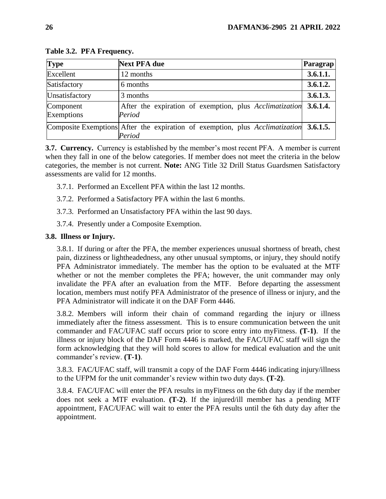| <b>Type</b>             | <b>Next PFA due</b>                                                                             | Paragrap |
|-------------------------|-------------------------------------------------------------------------------------------------|----------|
| Excellent               | 12 months                                                                                       | 3.6.1.1. |
| Satisfactory            | 6 months                                                                                        | 3.6.1.2. |
| Unsatisfactory          | 3 months                                                                                        | 3.6.1.3. |
| Component<br>Exemptions | After the expiration of exemption, plus Acclimatization 3.6.1.4.<br>Period                      |          |
|                         | Composite Exemptions After the expiration of exemption, plus Acclimatization 3.6.1.5.<br>Period |          |

**Table 3.2. PFA Frequency.**

<span id="page-25-0"></span>**3.7. Currency.** Currency is established by the member's most recent PFA. A member is current when they fall in one of the below categories. If member does not meet the criteria in the below categories, the member is not current. **Note:** ANG Title 32 Drill Status Guardsmen Satisfactory assessments are valid for 12 months.

- 3.7.1. Performed an Excellent PFA within the last 12 months.
- 3.7.2. Performed a Satisfactory PFA within the last 6 months.
- 3.7.3. Performed an Unsatisfactory PFA within the last 90 days.
- 3.7.4. Presently under a Composite Exemption.

### <span id="page-25-1"></span>**3.8. Illness or Injury.**

3.8.1. If during or after the PFA, the member experiences unusual shortness of breath, chest pain, dizziness or lightheadedness, any other unusual symptoms, or injury, they should notify PFA Administrator immediately. The member has the option to be evaluated at the MTF whether or not the member completes the PFA; however, the unit commander may only invalidate the PFA after an evaluation from the MTF. Before departing the assessment location, members must notify PFA Administrator of the presence of illness or injury, and the PFA Administrator will indicate it on the DAF Form 4446.

3.8.2. Members will inform their chain of command regarding the injury or illness immediately after the fitness assessment. This is to ensure communication between the unit commander and FAC/UFAC staff occurs prior to score entry into myFitness. **(T-1)**. If the illness or injury block of the DAF Form 4446 is marked, the FAC/UFAC staff will sign the form acknowledging that they will hold scores to allow for medical evaluation and the unit commander's review. **(T-1)**.

3.8.3. FAC/UFAC staff, will transmit a copy of the DAF Form 4446 indicating injury/illness to the UFPM for the unit commander's review within two duty days. **(T-2)**.

3.8.4. FAC/UFAC will enter the PFA results in myFitness on the 6th duty day if the member does not seek a MTF evaluation. **(T-2)**. If the injured/ill member has a pending MTF appointment, FAC/UFAC will wait to enter the PFA results until the 6th duty day after the appointment.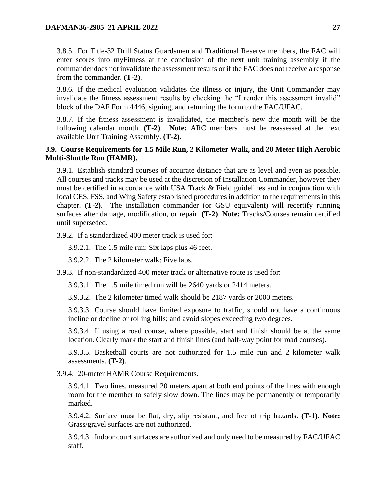3.8.5. For Title-32 Drill Status Guardsmen and Traditional Reserve members, the FAC will enter scores into myFitness at the conclusion of the next unit training assembly if the commander does not invalidate the assessment results or if the FAC does not receive a response from the commander. **(T-2)**.

3.8.6. If the medical evaluation validates the illness or injury, the Unit Commander may invalidate the fitness assessment results by checking the "I render this assessment invalid" block of the DAF Form 4446, signing, and returning the form to the FAC/UFAC.

3.8.7. If the fitness assessment is invalidated, the member's new due month will be the following calendar month. **(T-2)**. **Note:** ARC members must be reassessed at the next available Unit Training Assembly. **(T-2)**.

## <span id="page-26-0"></span>**3.9. Course Requirements for 1.5 Mile Run, 2 Kilometer Walk, and 20 Meter High Aerobic Multi-Shuttle Run (HAMR).**

3.9.1. Establish standard courses of accurate distance that are as level and even as possible. All courses and tracks may be used at the discretion of Installation Commander, however they must be certified in accordance with USA Track & Field guidelines and in conjunction with local CES, FSS, and Wing Safety established procedures in addition to the requirements in this chapter. **(T-2)**. The installation commander (or GSU equivalent) will recertify running surfaces after damage, modification, or repair. **(T-2)**. **Note:** Tracks/Courses remain certified until superseded.

3.9.2. If a standardized 400 meter track is used for:

3.9.2.1. The 1.5 mile run: Six laps plus 46 feet.

3.9.2.2. The 2 kilometer walk: Five laps.

3.9.3. If non-standardized 400 meter track or alternative route is used for:

3.9.3.1. The 1.5 mile timed run will be 2640 yards or 2414 meters.

3.9.3.2. The 2 kilometer timed walk should be 2187 yards or 2000 meters.

3.9.3.3. Course should have limited exposure to traffic, should not have a continuous incline or decline or rolling hills; and avoid slopes exceeding two degrees.

3.9.3.4. If using a road course, where possible, start and finish should be at the same location. Clearly mark the start and finish lines (and half-way point for road courses).

3.9.3.5. Basketball courts are not authorized for 1.5 mile run and 2 kilometer walk assessments. **(T-2)**.

3.9.4. 20-meter HAMR Course Requirements.

3.9.4.1. Two lines, measured 20 meters apart at both end points of the lines with enough room for the member to safely slow down. The lines may be permanently or temporarily marked.

3.9.4.2. Surface must be flat, dry, slip resistant, and free of trip hazards. **(T-1)**. **Note:** Grass/gravel surfaces are not authorized.

3.9.4.3. Indoor court surfaces are authorized and only need to be measured by FAC/UFAC staff.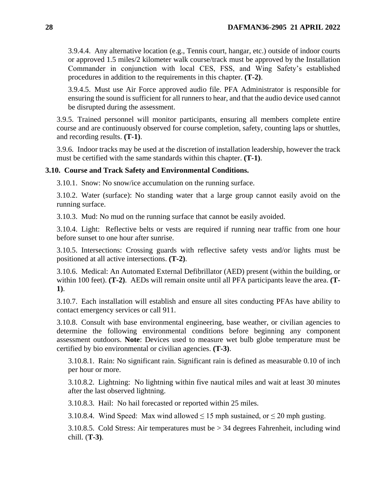3.9.4.4. Any alternative location (e.g., Tennis court, hangar, etc.) outside of indoor courts or approved 1.5 miles/2 kilometer walk course/track must be approved by the Installation Commander in conjunction with local CES, FSS, and Wing Safety's established procedures in addition to the requirements in this chapter. **(T-2)**.

3.9.4.5. Must use Air Force approved audio file. PFA Administrator is responsible for ensuring the sound is sufficient for all runners to hear, and that the audio device used cannot be disrupted during the assessment.

3.9.5. Trained personnel will monitor participants, ensuring all members complete entire course and are continuously observed for course completion, safety, counting laps or shuttles, and recording results. **(T-1)**.

3.9.6. Indoor tracks may be used at the discretion of installation leadership, however the track must be certified with the same standards within this chapter. **(T-1)**.

#### <span id="page-27-0"></span>**3.10. Course and Track Safety and Environmental Conditions.**

3.10.1. Snow: No snow/ice accumulation on the running surface.

3.10.2. Water (surface): No standing water that a large group cannot easily avoid on the running surface.

3.10.3. Mud: No mud on the running surface that cannot be easily avoided.

3.10.4. Light: Reflective belts or vests are required if running near traffic from one hour before sunset to one hour after sunrise.

3.10.5. Intersections: Crossing guards with reflective safety vests and/or lights must be positioned at all active intersections. **(T-2)**.

3.10.6. Medical: An Automated External Defibrillator (AED) present (within the building, or within 100 feet). **(T-2)**. AEDs will remain onsite until all PFA participants leave the area. **(T-1)**.

3.10.7. Each installation will establish and ensure all sites conducting PFAs have ability to contact emergency services or call 911.

3.10.8. Consult with base environmental engineering, base weather, or civilian agencies to determine the following environmental conditions before beginning any component assessment outdoors. **Note**: Devices used to measure wet bulb globe temperature must be certified by bio environmental or civilian agencies. **(T-3)**.

3.10.8.1. Rain: No significant rain. Significant rain is defined as measurable 0.10 of inch per hour or more.

3.10.8.2. Lightning: No lightning within five nautical miles and wait at least 30 minutes after the last observed lightning.

3.10.8.3. Hail: No hail forecasted or reported within 25 miles.

3.10.8.4. Wind Speed: Max wind allowed  $\leq$  15 mph sustained, or  $\leq$  20 mph gusting.

3.10.8.5. Cold Stress: Air temperatures must be > 34 degrees Fahrenheit, including wind chill. (**T-3)**.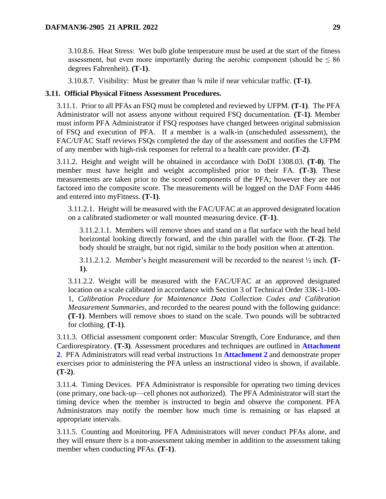3.10.8.6. Heat Stress: Wet bulb globe temperature must be used at the start of the fitness assessment, but even more importantly during the aerobic component (should be  $\leq 86$ ) degrees Fahrenheit). **(T-1)**.

3.10.8.7. Visibility: Must be greater than ¾ mile if near vehicular traffic. **(T-1)**.

### <span id="page-28-0"></span>**3.11. Official Physical Fitness Assessment Procedures.**

3.11.1. Prior to all PFAs an FSQ must be completed and reviewed by UFPM. **(T-1)**. The PFA Administrator will not assess anyone without required FSQ documentation. **(T-1)**. Member must inform PFA Administrator if FSQ responses have changed between original submission of FSQ and execution of PFA. If a member is a walk-in (unscheduled assessment), the FAC/UFAC Staff reviews FSQs completed the day of the assessment and notifies the UFPM of any member with high-risk responses for referral to a health care provider. **(T-2)**.

3.11.2. Height and weight will be obtained in accordance with DoDI 1308.03. **(T-0)**. The member must have height and weight accomplished prior to their FA. **(T-3)**. These measurements are taken prior to the scored components of the PFA; however they are not factored into the composite score. The measurements will be logged on the DAF Form 4446 and entered into myFitness. **(T-1)**.

3.11.2.1. Height will be measured with the FAC/UFAC at an approved designated location on a calibrated stadiometer or wall mounted measuring device. **(T-1)**.

3.11.2.1.1. Members will remove shoes and stand on a flat surface with the head held horizontal looking directly forward, and the chin parallel with the floor. **(T-2)**. The body should be straight, but not rigid, similar to the body position when at attention.

3.11.2.1.2. Member's height measurement will be recorded to the nearest ½ inch. **(T-1)**.

3.11.2.2. Weight will be measured with the FAC/UFAC at an approved designated location on a scale calibrated in accordance with Section 3 of Technical Order 33K-1-100- 1, *Calibration Procedure for Maintenance Data Collection Codes and Calibration Measurement Summaries,* and recorded to the nearest pound with the following guidance: **(T-1)**. Members will remove shoes to stand on the scale. Two pounds will be subtracted for clothing. **(T-1)**.

3.11.3. Official assessment component order: Muscular Strength, Core Endurance, and then Cardiorespiratory. **(T-3)**. Assessment procedures and techniques are outlined in **[Attachment](#page-51-0)  [2](#page-51-0)**. PFA Administrators will read verbal instructions 1n **[Attachment 2](#page-51-0)** and demonstrate proper exercises prior to administering the PFA unless an instructional video is shown, if available. **(T-2)**.

3.11.4. Timing Devices. PFA Administrator is responsible for operating two timing devices (one primary, one back-up—cell phones not authorized). The PFA Administrator will start the timing device when the member is instructed to begin and observe the component. PFA Administrators may notify the member how much time is remaining or has elapsed at appropriate intervals.

3.11.5. Counting and Monitoring. PFA Administrators will never conduct PFAs alone, and they will ensure there is a non-assessment taking member in addition to the assessment taking member when conducting PFAs. **(T-1)**.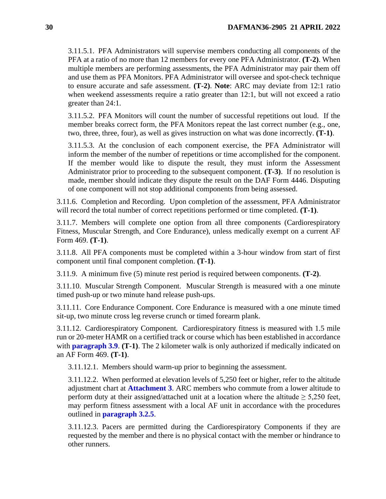3.11.5.1. PFA Administrators will supervise members conducting all components of the PFA at a ratio of no more than 12 members for every one PFA Administrator. **(T-2)**. When multiple members are performing assessments, the PFA Administrator may pair them off and use them as PFA Monitors. PFA Administrator will oversee and spot-check technique to ensure accurate and safe assessment. **(T-2)**. **Note**: ARC may deviate from 12:1 ratio when weekend assessments require a ratio greater than 12:1, but will not exceed a ratio greater than 24:1.

3.11.5.2. PFA Monitors will count the number of successful repetitions out loud. If the member breaks correct form, the PFA Monitors repeat the last correct number (e.g., one, two, three, three, four), as well as gives instruction on what was done incorrectly. **(T-1)**.

3.11.5.3. At the conclusion of each component exercise, the PFA Administrator will inform the member of the number of repetitions or time accomplished for the component. If the member would like to dispute the result, they must inform the Assessment Administrator prior to proceeding to the subsequent component. **(T-3)**. If no resolution is made, member should indicate they dispute the result on the DAF Form 4446. Disputing of one component will not stop additional components from being assessed.

3.11.6. Completion and Recording. Upon completion of the assessment, PFA Administrator will record the total number of correct repetitions performed or time completed. **(T-1)**.

3.11.7. Members will complete one option from all three components (Cardiorespiratory Fitness, Muscular Strength, and Core Endurance), unless medically exempt on a current AF Form 469. **(T-1)**.

3.11.8. All PFA components must be completed within a 3-hour window from start of first component until final component completion. **(T-1)**.

3.11.9. A minimum five (5) minute rest period is required between components. **(T-2)**.

3.11.10. Muscular Strength Component. Muscular Strength is measured with a one minute timed push-up or two minute hand release push-ups.

3.11.11. Core Endurance Component. Core Endurance is measured with a one minute timed sit-up, two minute cross leg reverse crunch or timed forearm plank.

3.11.12. Cardiorespiratory Component*.* Cardiorespiratory fitness is measured with 1.5 mile run or 20-meter HAMR on a certified track or course which has been established in accordance with **[paragraph 3.9](#page-26-0)**. **(T-1)**. The 2 kilometer walk is only authorized if medically indicated on an AF Form 469. **(T-1)**.

3.11.12.1. Members should warm-up prior to beginning the assessment.

<span id="page-29-0"></span>3.11.12.2. When performed at elevation levels of 5,250 feet or higher, refer to the altitude adjustment chart at **[Attachment 3](#page-56-0)**. ARC members who commute from a lower altitude to perform duty at their assigned/attached unit at a location where the altitude  $\geq 5,250$  feet, may perform fitness assessment with a local AF unit in accordance with the procedures outlined in **[paragraph 3.2.5](#page-21-2)**.

3.11.12.3. Pacers are permitted during the Cardiorespiratory Components if they are requested by the member and there is no physical contact with the member or hindrance to other runners.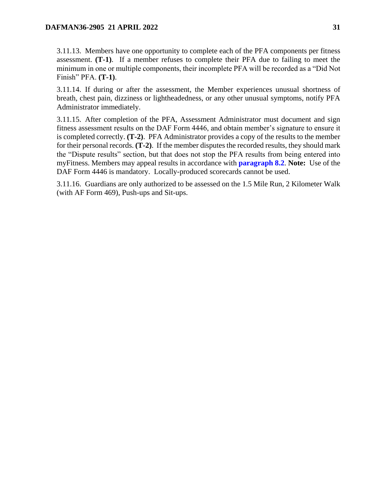3.11.13. Members have one opportunity to complete each of the PFA components per fitness assessment. **(T-1)**. If a member refuses to complete their PFA due to failing to meet the minimum in one or multiple components, their incomplete PFA will be recorded as a "Did Not Finish" PFA. **(T-1)**.

3.11.14. If during or after the assessment, the Member experiences unusual shortness of breath, chest pain, dizziness or lightheadedness, or any other unusual symptoms, notify PFA Administrator immediately.

3.11.15. After completion of the PFA, Assessment Administrator must document and sign fitness assessment results on the DAF Form 4446, and obtain member's signature to ensure it is completed correctly. **(T-2)**. PFA Administrator provides a copy of the results to the member for their personal records. **(T-2)**. If the member disputes the recorded results, they should mark the "Dispute results" section, but that does not stop the PFA results from being entered into myFitness. Members may appeal results in accordance with **[paragraph 8.2](#page-44-0)**. **Note:** Use of the DAF Form 4446 is mandatory. Locally-produced scorecards cannot be used.

3.11.16. Guardians are only authorized to be assessed on the 1.5 Mile Run, 2 Kilometer Walk (with AF Form 469), Push-ups and Sit-ups.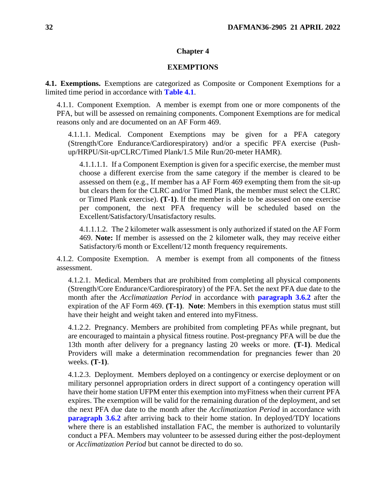#### **Chapter 4**

#### **EXEMPTIONS**

<span id="page-31-1"></span><span id="page-31-0"></span>**4.1. Exemptions.** Exemptions are categorized as Composite or Component Exemptions for a limited time period in accordance with **[Table 4.1](#page-33-4)**.

4.1.1. Component Exemption. A member is exempt from one or more components of the PFA, but will be assessed on remaining components. Component Exemptions are for medical reasons only and are documented on an AF Form 469.

<span id="page-31-2"></span>4.1.1.1. Medical. Component Exemptions may be given for a PFA category (Strength/Core Endurance/Cardiorespiratory) and/or a specific PFA exercise (Pushup/HRPU/Sit-up/CLRC/Timed Plank/1.5 Mile Run/20-meter HAMR).

4.1.1.1.1. If a Component Exemption is given for a specific exercise, the member must choose a different exercise from the same category if the member is cleared to be assessed on them (e.g., If member has a AF Form 469 exempting them from the sit-up but clears them for the CLRC and/or Timed Plank, the member must select the CLRC or Timed Plank exercise). **(T-1)**. If the member is able to be assessed on one exercise per component, the next PFA frequency will be scheduled based on the Excellent/Satisfactory/Unsatisfactory results.

4.1.1.1.2. The 2 kilometer walk assessment is only authorized if stated on the AF Form 469. **Note:** If member is assessed on the 2 kilometer walk, they may receive either Satisfactory/6 month or Excellent/12 month frequency requirements.

4.1.2. Composite Exemption. A member is exempt from all components of the fitness assessment.

4.1.2.1. Medical. Members that are prohibited from completing all physical components (Strength/Core Endurance/Cardiorespiratory) of the PFA. Set the next PFA due date to the month after the *Acclimatization Period* in accordance with **[paragraph 3.6.2](#page-24-1)** after the expiration of the AF Form 469. **(T-1)**. **Note**: Members in this exemption status must still have their height and weight taken and entered into myFitness.

4.1.2.2. Pregnancy. Members are prohibited from completing PFAs while pregnant, but are encouraged to maintain a physical fitness routine. Post-pregnancy PFA will be due the 13th month after delivery for a pregnancy lasting 20 weeks or more. **(T-1)**. Medical Providers will make a determination recommendation for pregnancies fewer than 20 weeks. **(T-1)**.

4.1.2.3. Deployment. Members deployed on a contingency or exercise deployment or on military personnel appropriation orders in direct support of a contingency operation will have their home station UFPM enter this exemption into myFitness when their current PFA expires. The exemption will be valid for the remaining duration of the deployment, and set the next PFA due date to the month after the *Acclimatization Period* in accordance with **[paragraph 3.6.2](#page-24-1)** after arriving back to their home station. In deployed/TDY locations where there is an established installation FAC, the member is authorized to voluntarily conduct a PFA. Members may volunteer to be assessed during either the post-deployment or *Acclimatization Period* but cannot be directed to do so.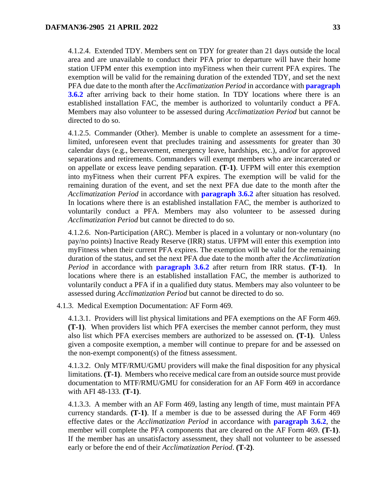4.1.2.4. Extended TDY. Members sent on TDY for greater than 21 days outside the local area and are unavailable to conduct their PFA prior to departure will have their home station UFPM enter this exemption into myFitness when their current PFA expires. The exemption will be valid for the remaining duration of the extended TDY, and set the next PFA due date to the month after the *Acclimatization Period* in accordance with **[paragraph](#page-24-1)  [3.6.2](#page-24-1)** after arriving back to their home station. In TDY locations where there is an established installation FAC, the member is authorized to voluntarily conduct a PFA. Members may also volunteer to be assessed during *Acclimatization Period* but cannot be directed to do so.

<span id="page-32-0"></span>4.1.2.5. Commander (Other). Member is unable to complete an assessment for a timelimited, unforeseen event that precludes training and assessments for greater than 30 calendar days (e.g., bereavement, emergency leave, hardships, etc.), and/or for approved separations and retirements. Commanders will exempt members who are incarcerated or on appellate or excess leave pending separation. **(T-1)**. UFPM will enter this exemption into myFitness when their current PFA expires. The exemption will be valid for the remaining duration of the event, and set the next PFA due date to the month after the *Acclimatization Period* in accordance with **[paragraph 3.6.2](#page-24-1)** after situation has resolved. In locations where there is an established installation FAC, the member is authorized to voluntarily conduct a PFA. Members may also volunteer to be assessed during *Acclimatization Period* but cannot be directed to do so.

4.1.2.6. Non-Participation (ARC). Member is placed in a voluntary or non-voluntary (no pay/no points) Inactive Ready Reserve (IRR) status. UFPM will enter this exemption into myFitness when their current PFA expires. The exemption will be valid for the remaining duration of the status, and set the next PFA due date to the month after the *Acclimatization Period* in accordance with **[paragraph 3.6.2](#page-24-1)** after return from IRR status. **(T-1)**. In locations where there is an established installation FAC, the member is authorized to voluntarily conduct a PFA if in a qualified duty status. Members may also volunteer to be assessed during *Acclimatization Period* but cannot be directed to do so.

4.1.3. Medical Exemption Documentation: AF Form 469*.*

4.1.3.1. Providers will list physical limitations and PFA exemptions on the AF Form 469. **(T-1)**. When providers list which PFA exercises the member cannot perform, they must also list which PFA exercises members are authorized to be assessed on. **(T-1)**. Unless given a composite exemption, a member will continue to prepare for and be assessed on the non-exempt component(s) of the fitness assessment.

4.1.3.2. Only MTF/RMU/GMU providers will make the final disposition for any physical limitations. **(T-1)**. Members who receive medical care from an outside source must provide documentation to MTF/RMU/GMU for consideration for an AF Form 469 in accordance with AFI 48-133. **(T-1)**.

4.1.3.3. A member with an AF Form 469, lasting any length of time, must maintain PFA currency standards. **(T-1)**. If a member is due to be assessed during the AF Form 469 effective dates or the *Acclimatization Period* in accordance with **[paragraph 3.6.2](#page-24-1)**, the member will complete the PFA components that are cleared on the AF Form 469. **(T-1)**. If the member has an unsatisfactory assessment, they shall not volunteer to be assessed early or before the end of their *Acclimatization Period*. **(T-2)**.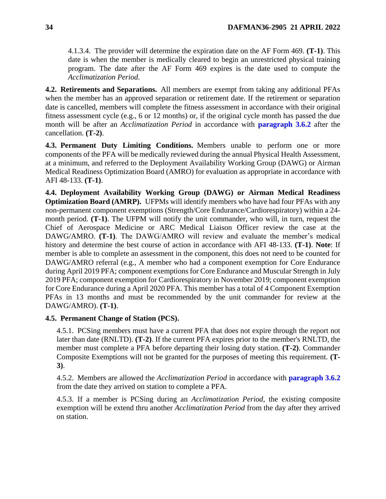4.1.3.4. The provider will determine the expiration date on the AF Form 469. **(T-1)**. This date is when the member is medically cleared to begin an unrestricted physical training program. The date after the AF Form 469 expires is the date used to compute the *Acclimatization Period*.

<span id="page-33-0"></span>**4.2. Retirements and Separations.** All members are exempt from taking any additional PFAs when the member has an approved separation or retirement date. If the retirement or separation date is cancelled, members will complete the fitness assessment in accordance with their original fitness assessment cycle (e.g., 6 or 12 months) or, if the original cycle month has passed the due month will be after an *Acclimatization Period* in accordance with **[paragraph 3.6.2](#page-24-1)** after the cancellation. **(T-2)**.

<span id="page-33-1"></span>**4.3. Permanent Duty Limiting Conditions.** Members unable to perform one or more components of the PFA will be medically reviewed during the annual Physical Health Assessment, at a minimum, and referred to the Deployment Availability Working Group (DAWG) or Airman Medical Readiness Optimization Board (AMRO) for evaluation as appropriate in accordance with AFI 48-133. **(T-1)**.

<span id="page-33-2"></span>**4.4. Deployment Availability Working Group (DAWG) or Airman Medical Readiness Optimization Board (AMRP).** UFPMs will identify members who have had four PFAs with any non-permanent component exemptions (Strength/Core Endurance/Cardiorespiratory) within a 24 month period. **(T-1)**. The UFPM will notify the unit commander, who will, in turn, request the Chief of Aerospace Medicine or ARC Medical Liaison Officer review the case at the DAWG/AMRO. **(T-1)**. The DAWG/AMRO will review and evaluate the member's medical history and determine the best course of action in accordance with AFI 48-133. **(T-1)**. **Note**: If member is able to complete an assessment in the component, this does not need to be counted for DAWG/AMRO referral (e.g., A member who had a component exemption for Core Endurance during April 2019 PFA; component exemptions for Core Endurance and Muscular Strength in July 2019 PFA; component exemption for Cardiorespiratory in November 2019; component exemption for Core Endurance during a April 2020 PFA. This member has a total of 4 Component Exemption PFAs in 13 months and must be recommended by the unit commander for review at the DAWG/AMRO). **(T-1)**.

### <span id="page-33-3"></span>**4.5. Permanent Change of Station (PCS).**

4.5.1. PCSing members must have a current PFA that does not expire through the report not later than date (RNLTD). **(T-2)**. If the current PFA expires prior to the member's RNLTD, the member must complete a PFA before departing their losing duty station. **(T-2)**. Commander Composite Exemptions will not be granted for the purposes of meeting this requirement. **(T-3)**.

4.5.2. Members are allowed the *Acclimatization Period* in accordance with **[paragraph 3.6.2](#page-24-1)** from the date they arrived on station to complete a PFA.

<span id="page-33-4"></span>4.5.3. If a member is PCSing during an *Acclimatization Period*, the existing composite exemption will be extend thru another *Acclimatization Period* from the day after they arrived on station.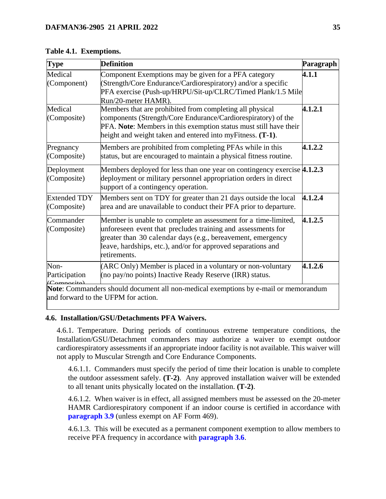| <b>Type</b>         | <b>Definition</b>                                                                   | Paragraph |
|---------------------|-------------------------------------------------------------------------------------|-----------|
| Medical             | Component Exemptions may be given for a PFA category                                | 4.1.1     |
| (Component)         | (Strength/Core Endurance/Cardiorespiratory) and/or a specific                       |           |
|                     | PFA exercise (Push-up/HRPU/Sit-up/CLRC/Timed Plank/1.5 Mile                         |           |
|                     | Run/20-meter HAMR).                                                                 |           |
| Medical             | Members that are prohibited from completing all physical                            | 4.1.2.1   |
| (Composite)         | components (Strength/Core Endurance/Cardiorespiratory) of the                       |           |
|                     | PFA. Note: Members in this exemption status must still have their                   |           |
|                     | height and weight taken and entered into myFitness. (T-1).                          |           |
| Pregnancy           | Members are prohibited from completing PFAs while in this                           | 4.1.2.2   |
| (Composite)         | status, but are encouraged to maintain a physical fitness routine.                  |           |
| Deployment          | Members deployed for less than one year on contingency exercise $4.1.2.3$           |           |
| (Composite)         | deployment or military personnel appropriation orders in direct                     |           |
|                     | support of a contingency operation.                                                 |           |
| <b>Extended TDY</b> | Members sent on TDY for greater than 21 days outside the local                      | 4.1.2.4   |
| (Composite)         | area and are unavailable to conduct their PFA prior to departure.                   |           |
| Commander           | Member is unable to complete an assessment for a time-limited,                      | 4.1.2.5   |
| (Composite)         | unforeseen event that precludes training and assessments for                        |           |
|                     | greater than 30 calendar days (e.g., bereavement, emergency                         |           |
|                     | leave, hardships, etc.), and/or for approved separations and                        |           |
|                     | retirements.                                                                        |           |
| Non-                | (ARC Only) Member is placed in a voluntary or non-voluntary                         | 4.1.2.6   |
| Participation       | (no pay/no points) Inactive Ready Reserve (IRR) status.                             |           |
| (Compooit)          | Note: Commanders should document all non-medical exemptions by e-mail or memorandum |           |
|                     | and forward to the UFPM for action.                                                 |           |

**Table 4.1. Exemptions.**

### <span id="page-34-0"></span>**4.6. Installation/GSU/Detachments PFA Waivers.**

4.6.1. Temperature. During periods of continuous extreme temperature conditions, the Installation/GSU/Detachment commanders may authorize a waiver to exempt outdoor cardiorespiratory assessments if an appropriate indoor facility is not available. This waiver will not apply to Muscular Strength and Core Endurance Components.

4.6.1.1. Commanders must specify the period of time their location is unable to complete the outdoor assessment safely. **(T-2)**. Any approved installation waiver will be extended to all tenant units physically located on the installation. **(T-2)**.

4.6.1.2. When waiver is in effect, all assigned members must be assessed on the 20-meter HAMR Cardiorespiratory component if an indoor course is certified in accordance with **[paragraph 3.9](#page-26-0)** (unless exempt on AF Form 469).

4.6.1.3. This will be executed as a permanent component exemption to allow members to receive PFA frequency in accordance with **[paragraph 3.6](#page-23-0)**.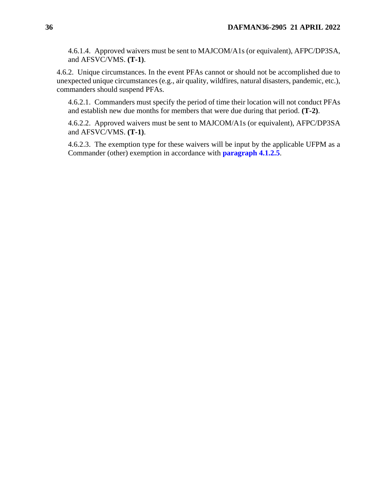4.6.1.4. Approved waivers must be sent to MAJCOM/A1s (or equivalent), AFPC/DP3SA, and AFSVC/VMS. **(T-1)**.

4.6.2. Unique circumstances. In the event PFAs cannot or should not be accomplished due to unexpected unique circumstances (e.g., air quality, wildfires, natural disasters, pandemic, etc.), commanders should suspend PFAs.

4.6.2.1. Commanders must specify the period of time their location will not conduct PFAs and establish new due months for members that were due during that period. **(T-2)**.

4.6.2.2. Approved waivers must be sent to MAJCOM/A1s (or equivalent), AFPC/DP3SA and AFSVC/VMS. **(T-1)**.

4.6.2.3. The exemption type for these waivers will be input by the applicable UFPM as a Commander (other) exemption in accordance with **[paragraph 4.1.2.5](#page-32-0)**.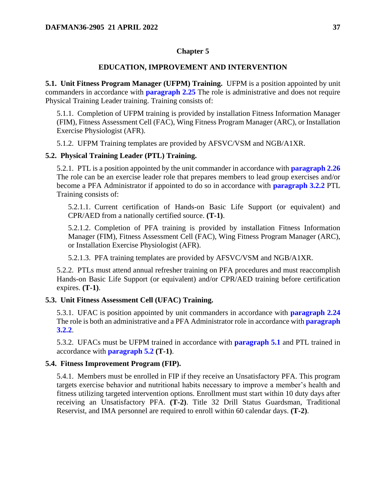### **Chapter 5**

#### **EDUCATION, IMPROVEMENT AND INTERVENTION**

<span id="page-36-1"></span><span id="page-36-0"></span>**5.1. Unit Fitness Program Manager (UFPM) Training.** UFPM is a position appointed by unit commanders in accordance with **[paragraph 2.25](#page-17-0)** The role is administrative and does not require Physical Training Leader training. Training consists of:

5.1.1. Completion of UFPM training is provided by installation Fitness Information Manager (FIM), Fitness Assessment Cell (FAC), Wing Fitness Program Manager (ARC), or Installation Exercise Physiologist (AFR).

5.1.2. UFPM Training templates are provided by AFSVC/VSM and NGB/A1XR.

### <span id="page-36-5"></span><span id="page-36-2"></span>**5.2. Physical Training Leader (PTL) Training.**

5.2.1. PTL is a position appointed by the unit commander in accordance with **[paragraph 2.26](#page-17-1)** The role can be an exercise leader role that prepares members to lead group exercises and/or become a PFA Administrator if appointed to do so in accordance with **[paragraph 3.2.2](#page-20-3)** PTL Training consists of:

5.2.1.1. Current certification of Hands-on Basic Life Support (or equivalent) and CPR/AED from a nationally certified source. **(T-1)**.

5.2.1.2. Completion of PFA training is provided by installation Fitness Information Manager (FIM), Fitness Assessment Cell (FAC), Wing Fitness Program Manager (ARC), or Installation Exercise Physiologist (AFR).

5.2.1.3. PFA training templates are provided by AFSVC/VSM and NGB/A1XR.

5.2.2. PTLs must attend annual refresher training on PFA procedures and must reaccomplish Hands-on Basic Life Support (or equivalent) and/or CPR/AED training before certification expires. **(T-1)**.

#### <span id="page-36-3"></span>**5.3. Unit Fitness Assessment Cell (UFAC) Training.**

5.3.1. UFAC is position appointed by unit commanders in accordance with **[paragraph 2.24](#page-16-0)** The role is both an administrative and a PFA Administrator role in accordance with **[paragraph](#page-20-3)  [3.2.2](#page-20-3)**.

5.3.2. UFACs must be UFPM trained in accordance with **[paragraph 5.1](#page-36-1)** and PTL trained in accordance with **[paragraph 5.2](#page-36-2) (T-1)**.

#### <span id="page-36-4"></span>**5.4. Fitness Improvement Program (FIP).**

5.4.1. Members must be enrolled in FIP if they receive an Unsatisfactory PFA. This program targets exercise behavior and nutritional habits necessary to improve a member's health and fitness utilizing targeted intervention options. Enrollment must start within 10 duty days after receiving an Unsatisfactory PFA. **(T-2)**. Title 32 Drill Status Guardsman, Traditional Reservist, and IMA personnel are required to enroll within 60 calendar days. **(T-2)**.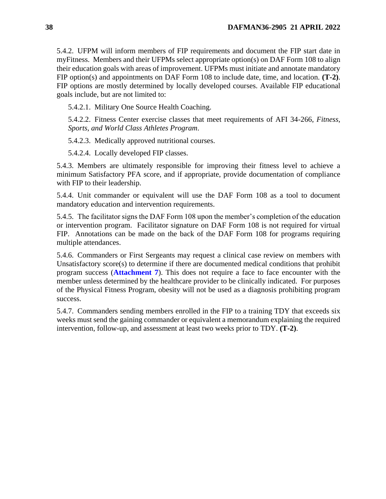5.4.2. UFPM will inform members of FIP requirements and document the FIP start date in myFitness. Members and their UFPMs select appropriate option(s) on DAF Form 108 to align their education goals with areas of improvement. UFPMs must initiate and annotate mandatory FIP option(s) and appointments on DAF Form 108 to include date, time, and location. **(T-2)**. FIP options are mostly determined by locally developed courses. Available FIP educational goals include, but are not limited to:

5.4.2.1. Military One Source Health Coaching.

5.4.2.2. Fitness Center exercise classes that meet requirements of AFI 34-266, *Fitness, Sports, and World Class Athletes Program*.

5.4.2.3. Medically approved nutritional courses.

5.4.2.4. Locally developed FIP classes.

5.4.3. Members are ultimately responsible for improving their fitness level to achieve a minimum Satisfactory PFA score, and if appropriate, provide documentation of compliance with FIP to their leadership.

5.4.4. Unit commander or equivalent will use the DAF Form 108 as a tool to document mandatory education and intervention requirements.

5.4.5. The facilitator signs the DAF Form 108 upon the member's completion of the education or intervention program. Facilitator signature on DAF Form 108 is not required for virtual FIP. Annotations can be made on the back of the DAF Form 108 for programs requiring multiple attendances.

5.4.6. Commanders or First Sergeants may request a clinical case review on members with Unsatisfactory score(s) to determine if there are documented medical conditions that prohibit program success (**[Attachment 7](#page-64-0)**). This does not require a face to face encounter with the member unless determined by the healthcare provider to be clinically indicated. For purposes of the Physical Fitness Program, obesity will not be used as a diagnosis prohibiting program success.

5.4.7. Commanders sending members enrolled in the FIP to a training TDY that exceeds six weeks must send the gaining commander or equivalent a memorandum explaining the required intervention, follow-up, and assessment at least two weeks prior to TDY. **(T-2)**.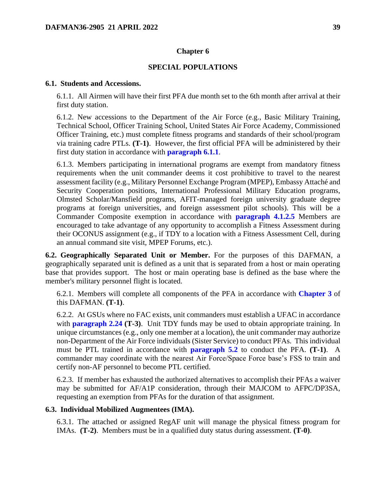### **Chapter 6**

#### **SPECIAL POPULATIONS**

#### <span id="page-38-4"></span><span id="page-38-1"></span><span id="page-38-0"></span>**6.1. Students and Accessions.**

6.1.1. All Airmen will have their first PFA due month set to the 6th month after arrival at their first duty station.

6.1.2. New accessions to the Department of the Air Force (e.g., Basic Military Training, Technical School, Officer Training School, United States Air Force Academy, Commissioned Officer Training, etc.) must complete fitness programs and standards of their school/program via training cadre PTLs. **(T-1)**. However, the first official PFA will be administered by their first duty station in accordance with **[paragraph 6.1.1](#page-38-4)**.

6.1.3. Members participating in international programs are exempt from mandatory fitness requirements when the unit commander deems it cost prohibitive to travel to the nearest assessment facility (e.g., Military Personnel Exchange Program (MPEP), Embassy Attaché and Security Cooperation positions, International Professional Military Education programs, Olmsted Scholar/Mansfield programs, AFIT-managed foreign university graduate degree programs at foreign universities, and foreign assessment pilot schools). This will be a Commander Composite exemption in accordance with **[paragraph 4.1.2.5](#page-32-0)** Members are encouraged to take advantage of any opportunity to accomplish a Fitness Assessment during their OCONUS assignment (e.g., if TDY to a location with a Fitness Assessment Cell, during an annual command site visit, MPEP Forums, etc.).

<span id="page-38-2"></span>**6.2. Geographically Separated Unit or Member.** For the purposes of this DAFMAN, a geographically separated unit is defined as a unit that is separated from a host or main operating base that provides support. The host or main operating base is defined as the base where the member's military personnel flight is located.

6.2.1. Members will complete all components of the PFA in accordance with **[Chapter 3](#page-20-0)** of this DAFMAN. **(T-1)**.

6.2.2. At GSUs where no FAC exists, unit commanders must establish a UFAC in accordance with **[paragraph 2.24](#page-16-0) (T-3)**. Unit TDY funds may be used to obtain appropriate training. In unique circumstances (e.g., only one member at a location), the unit commander may authorize non-Department of the Air Force individuals (Sister Service) to conduct PFAs. This individual must be PTL trained in accordance with **[paragraph 5.2](#page-36-2)** to conduct the PFA. **(T-1)**. A commander may coordinate with the nearest Air Force/Space Force base's FSS to train and certify non-AF personnel to become PTL certified.

6.2.3. If member has exhausted the authorized alternatives to accomplish their PFAs a waiver may be submitted for AF/A1P consideration, through their MAJCOM to AFPC/DP3SA, requesting an exemption from PFAs for the duration of that assignment.

### <span id="page-38-3"></span>**6.3. Individual Mobilized Augmentees (IMA).**

6.3.1. The attached or assigned RegAF unit will manage the physical fitness program for IMAs. **(T-2)**. Members must be in a qualified duty status during assessment. **(T-0)**.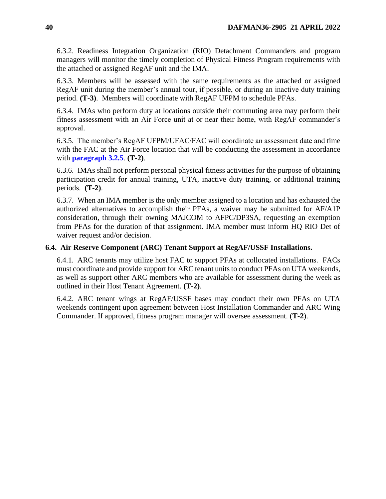6.3.2. Readiness Integration Organization (RIO) Detachment Commanders and program managers will monitor the timely completion of Physical Fitness Program requirements with the attached or assigned RegAF unit and the IMA.

6.3.3. Members will be assessed with the same requirements as the attached or assigned RegAF unit during the member's annual tour, if possible, or during an inactive duty training period. **(T-3)**. Members will coordinate with RegAF UFPM to schedule PFAs.

6.3.4. IMAs who perform duty at locations outside their commuting area may perform their fitness assessment with an Air Force unit at or near their home, with RegAF commander's approval.

6.3.5. The member's RegAF UFPM/UFAC/FAC will coordinate an assessment date and time with the FAC at the Air Force location that will be conducting the assessment in accordance with **[paragraph 3.2.5](#page-21-2)**. **(T-2)**.

6.3.6. IMAs shall not perform personal physical fitness activities for the purpose of obtaining participation credit for annual training, UTA, inactive duty training, or additional training periods. **(T-2)**.

6.3.7. When an IMA member is the only member assigned to a location and has exhausted the authorized alternatives to accomplish their PFAs, a waiver may be submitted for AF/A1P consideration, through their owning MAJCOM to AFPC/DP3SA, requesting an exemption from PFAs for the duration of that assignment. IMA member must inform HQ RIO Det of waiver request and/or decision.

## <span id="page-39-0"></span>**6.4. Air Reserve Component (ARC) Tenant Support at RegAF/USSF Installations.**

6.4.1. ARC tenants may utilize host FAC to support PFAs at collocated installations. FACs must coordinate and provide support for ARC tenant units to conduct PFAs on UTA weekends, as well as support other ARC members who are available for assessment during the week as outlined in their Host Tenant Agreement. **(T-2)**.

6.4.2. ARC tenant wings at RegAF/USSF bases may conduct their own PFAs on UTA weekends contingent upon agreement between Host Installation Commander and ARC Wing Commander. If approved, fitness program manager will oversee assessment. (**T-2**).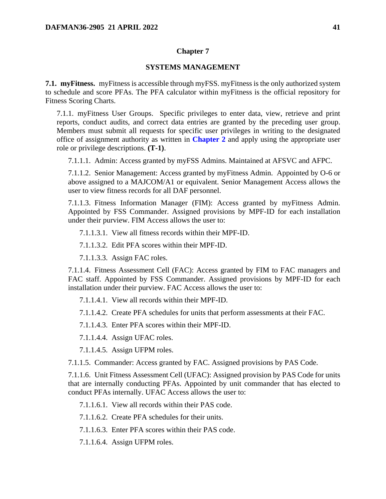### **Chapter 7**

#### **SYSTEMS MANAGEMENT**

<span id="page-40-1"></span><span id="page-40-0"></span>**7.1. myFitness.** myFitness is accessible through myFSS. myFitness is the only authorized system to schedule and score PFAs. The PFA calculator within myFitness is the official repository for Fitness Scoring Charts.

7.1.1. myFitness User Groups. Specific privileges to enter data, view, retrieve and print reports, conduct audits, and correct data entries are granted by the preceding user group. Members must submit all requests for specific user privileges in writing to the designated office of assignment authority as written in **[Chapter 2](#page-6-0)** and apply using the appropriate user role or privilege descriptions. **(T-1)**.

7.1.1.1. Admin: Access granted by myFSS Admins. Maintained at AFSVC and AFPC.

7.1.1.2. Senior Management: Access granted by myFitness Admin. Appointed by O-6 or above assigned to a MAJCOM/A1 or equivalent. Senior Management Access allows the user to view fitness records for all DAF personnel.

7.1.1.3. Fitness Information Manager (FIM): Access granted by myFitness Admin. Appointed by FSS Commander. Assigned provisions by MPF-ID for each installation under their purview. FIM Access allows the user to:

7.1.1.3.1. View all fitness records within their MPF-ID.

7.1.1.3.2. Edit PFA scores within their MPF-ID.

7.1.1.3.3. Assign FAC roles.

7.1.1.4. Fitness Assessment Cell (FAC): Access granted by FIM to FAC managers and FAC staff. Appointed by FSS Commander. Assigned provisions by MPF-ID for each installation under their purview. FAC Access allows the user to:

7.1.1.4.1. View all records within their MPF-ID.

7.1.1.4.2. Create PFA schedules for units that perform assessments at their FAC.

7.1.1.4.3. Enter PFA scores within their MPF-ID.

7.1.1.4.4. Assign UFAC roles.

7.1.1.4.5. Assign UFPM roles.

7.1.1.5. Commander: Access granted by FAC. Assigned provisions by PAS Code.

7.1.1.6. Unit Fitness Assessment Cell (UFAC): Assigned provision by PAS Code for units that are internally conducting PFAs. Appointed by unit commander that has elected to conduct PFAs internally. UFAC Access allows the user to:

7.1.1.6.1. View all records within their PAS code.

7.1.1.6.2. Create PFA schedules for their units.

7.1.1.6.3. Enter PFA scores within their PAS code.

7.1.1.6.4. Assign UFPM roles.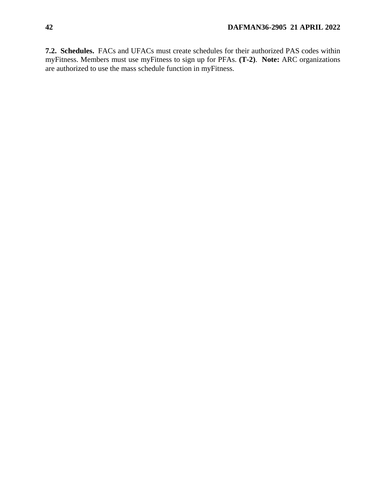<span id="page-41-0"></span>**7.2. Schedules.** FACs and UFACs must create schedules for their authorized PAS codes within myFitness. Members must use myFitness to sign up for PFAs. **(T-2)**. **Note:** ARC organizations are authorized to use the mass schedule function in myFitness.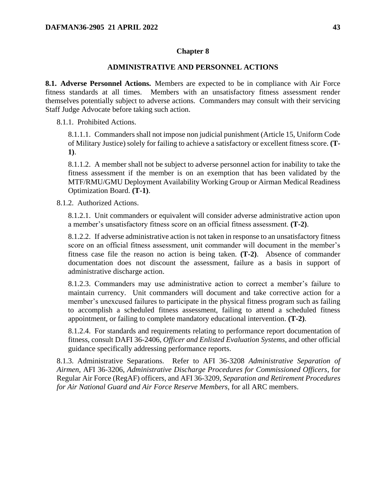### **Chapter 8**

#### **ADMINISTRATIVE AND PERSONNEL ACTIONS**

<span id="page-42-1"></span><span id="page-42-0"></span>**8.1. Adverse Personnel Actions.** Members are expected to be in compliance with Air Force fitness standards at all times. Members with an unsatisfactory fitness assessment render themselves potentially subject to adverse actions. Commanders may consult with their servicing Staff Judge Advocate before taking such action.

8.1.1. Prohibited Actions.

8.1.1.1. Commanders shall not impose non judicial punishment (Article 15, Uniform Code of Military Justice) solely for failing to achieve a satisfactory or excellent fitness score. **(T-1)**.

8.1.1.2. A member shall not be subject to adverse personnel action for inability to take the fitness assessment if the member is on an exemption that has been validated by the MTF/RMU/GMU Deployment Availability Working Group or Airman Medical Readiness Optimization Board. **(T-1)**.

8.1.2. Authorized Actions.

8.1.2.1. Unit commanders or equivalent will consider adverse administrative action upon a member's unsatisfactory fitness score on an official fitness assessment. **(T-2)**.

8.1.2.2. If adverse administrative action is not taken in response to an unsatisfactory fitness score on an official fitness assessment, unit commander will document in the member's fitness case file the reason no action is being taken. **(T-2)**. Absence of commander documentation does not discount the assessment, failure as a basis in support of administrative discharge action.

8.1.2.3. Commanders may use administrative action to correct a member's failure to maintain currency. Unit commanders will document and take corrective action for a member's unexcused failures to participate in the physical fitness program such as failing to accomplish a scheduled fitness assessment, failing to attend a scheduled fitness appointment, or failing to complete mandatory educational intervention. **(T-2)**.

8.1.2.4. For standards and requirements relating to performance report documentation of fitness, consult DAFI 36-2406, *Officer and Enlisted Evaluation Systems*, and other official guidance specifically addressing performance reports.

8.1.3. Administrative Separations. Refer to AFI 36-3208 *Administrative Separation of Airmen*, AFI 36-3206, *Administrative Discharge Procedures for Commissioned Officers*, for Regular Air Force (RegAF) officers, and AFI 36-3209, *Separation and Retirement Procedures for Air National Guard and Air Force Reserve Members*, for all ARC members.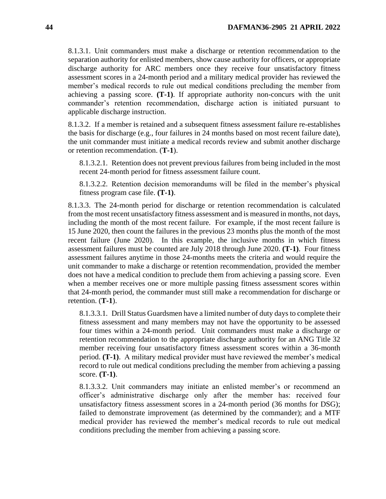8.1.3.1. Unit commanders must make a discharge or retention recommendation to the separation authority for enlisted members, show cause authority for officers, or appropriate discharge authority for ARC members once they receive four unsatisfactory fitness assessment scores in a 24-month period and a military medical provider has reviewed the member's medical records to rule out medical conditions precluding the member from achieving a passing score. **(T-1)**. If appropriate authority non-concurs with the unit commander's retention recommendation, discharge action is initiated pursuant to applicable discharge instruction.

8.1.3.2. If a member is retained and a subsequent fitness assessment failure re-establishes the basis for discharge (e.g., four failures in 24 months based on most recent failure date), the unit commander must initiate a medical records review and submit another discharge or retention recommendation. (**T-1**).

8.1.3.2.1. Retention does not prevent previous failures from being included in the most recent 24-month period for fitness assessment failure count.

8.1.3.2.2. Retention decision memorandums will be filed in the member's physical fitness program case file. **(T-1)**.

8.1.3.3. The 24-month period for discharge or retention recommendation is calculated from the most recent unsatisfactory fitness assessment and is measured in months, not days, including the month of the most recent failure. For example, if the most recent failure is 15 June 2020, then count the failures in the previous 23 months plus the month of the most recent failure (June 2020). In this example, the inclusive months in which fitness assessment failures must be counted are July 2018 through June 2020. **(T-1)**. Four fitness assessment failures anytime in those 24-months meets the criteria and would require the unit commander to make a discharge or retention recommendation, provided the member does not have a medical condition to preclude them from achieving a passing score. Even when a member receives one or more multiple passing fitness assessment scores within that 24-month period, the commander must still make a recommendation for discharge or retention. (**T-1**).

8.1.3.3.1. Drill Status Guardsmen have a limited number of duty days to complete their fitness assessment and many members may not have the opportunity to be assessed four times within a 24-month period. Unit commanders must make a discharge or retention recommendation to the appropriate discharge authority for an ANG Title 32 member receiving four unsatisfactory fitness assessment scores within a 36-month period. **(T-1)**. A military medical provider must have reviewed the member's medical record to rule out medical conditions precluding the member from achieving a passing score. **(T-1)**.

8.1.3.3.2. Unit commanders may initiate an enlisted member's or recommend an officer's administrative discharge only after the member has: received four unsatisfactory fitness assessment scores in a 24-month period (36 months for DSG); failed to demonstrate improvement (as determined by the commander); and a MTF medical provider has reviewed the member's medical records to rule out medical conditions precluding the member from achieving a passing score.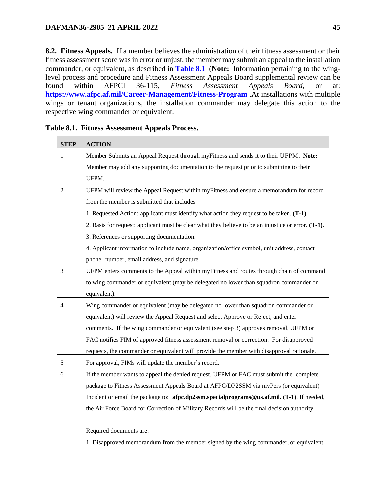<span id="page-44-0"></span>**8.2. Fitness Appeals.** If a member believes the administration of their fitness assessment or their fitness assessment score was in error or unjust, the member may submit an appeal to the installation commander, or equivalent, as described in **[Table 8.1](#page-44-1)** (**Note:** Information pertaining to the winglevel process and procedure and Fitness Assessment Appeals Board supplemental review can be found within AFPCI 36-115, *Fitness Assessment Appeals Board,* or at: **<https://www.afpc.af.mil/Career-Management/Fitness-Program>** .At installations with multiple wings or tenant organizations, the installation commander may delegate this action to the respective wing commander or equivalent.

| <b>STEP</b>    | <b>ACTION</b>                                                                                       |
|----------------|-----------------------------------------------------------------------------------------------------|
| $\mathbf{1}$   | Member Submits an Appeal Request through myFitness and sends it to their UFPM. Note:                |
|                | Member may add any supporting documentation to the request prior to submitting to their             |
|                | UFPM.                                                                                               |
| $\overline{2}$ | UFPM will review the Appeal Request within myFitness and ensure a memorandum for record             |
|                | from the member is submitted that includes                                                          |
|                | 1. Requested Action; applicant must identify what action they request to be taken. (T-1).           |
|                | 2. Basis for request: applicant must be clear what they believe to be an injustice or error. (T-1). |
|                | 3. References or supporting documentation.                                                          |
|                | 4. Applicant information to include name, organization/office symbol, unit address, contact         |
|                | phone number, email address, and signature.                                                         |
| 3              | UFPM enters comments to the Appeal within myFitness and routes through chain of command             |
|                | to wing commander or equivalent (may be delegated no lower than squadron commander or               |
|                | equivalent).                                                                                        |
| 4              | Wing commander or equivalent (may be delegated no lower than squadron commander or                  |
|                | equivalent) will review the Appeal Request and select Approve or Reject, and enter                  |
|                | comments. If the wing commander or equivalent (see step 3) approves removal, UFPM or                |
|                | FAC notifies FIM of approved fitness assessment removal or correction. For disapproved              |
|                | requests, the commander or equivalent will provide the member with disapproval rationale.           |
| $\sqrt{5}$     | For approval, FIMs will update the member's record.                                                 |
| $\sqrt{6}$     | If the member wants to appeal the denied request, UFPM or FAC must submit the complete              |
|                | package to Fitness Assessment Appeals Board at AFPC/DP2SSM via myPers (or equivalent)               |
|                | Incident or email the package to:_afpc.dp2ssm.specialprograms@us.af.mil. (T-1). If needed,          |
|                | the Air Force Board for Correction of Military Records will be the final decision authority.        |
|                |                                                                                                     |
|                | Required documents are:                                                                             |
|                | 1. Disapproved memorandum from the member signed by the wing commander, or equivalent               |

<span id="page-44-1"></span>**Table 8.1. Fitness Assessment Appeals Process.**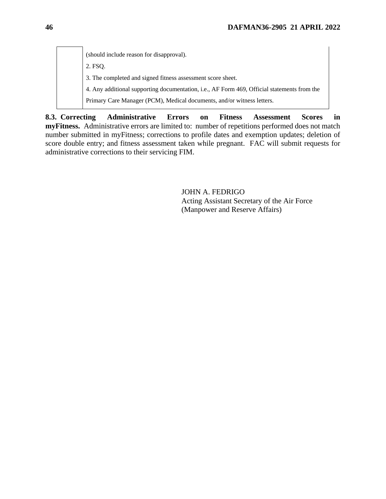(should include reason for disapproval). 2. FSQ. 3. The completed and signed fitness assessment score sheet. 4. Any additional supporting documentation, i.e., AF Form 469, Official statements from the Primary Care Manager (PCM), Medical documents, and/or witness letters.

<span id="page-45-0"></span>**8.3. Correcting Administrative Errors on Fitness Assessment Scores in myFitness.** Administrative errors are limited to: number of repetitions performed does not match number submitted in myFitness; corrections to profile dates and exemption updates; deletion of score double entry; and fitness assessment taken while pregnant. FAC will submit requests for administrative corrections to their servicing FIM.

> JOHN A. FEDRIGO Acting Assistant Secretary of the Air Force (Manpower and Reserve Affairs)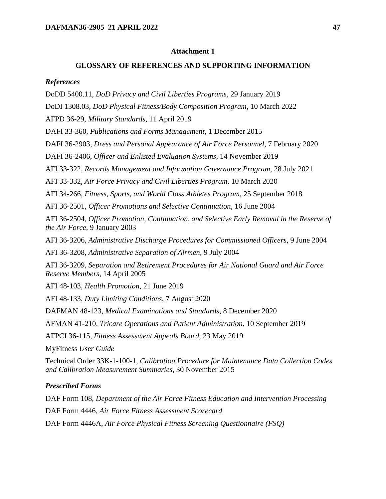### **Attachment 1**

#### **GLOSSARY OF REFERENCES AND SUPPORTING INFORMATION**

#### <span id="page-46-0"></span>*References*

DoDD 5400.11, *DoD Privacy and Civil Liberties Programs*, 29 January 2019

DoDI 1308.03, *DoD Physical Fitness/Body Composition Program*, 10 March 2022

AFPD 36-29, *Military Standards*, 11 April 2019

DAFI 33-360, *Publications and Forms Management*, 1 December 2015

DAFI 36-2903, *Dress and Personal Appearance of Air Force Personnel*, 7 February 2020

DAFI 36-2406, *Officer and Enlisted Evaluation Systems*, 14 November 2019

AFI 33-322, *Records Management and Information Governance Program*, 28 July 2021

AFI 33-332, *Air Force Privacy and Civil Liberties Program*, 10 March 2020

AFI 34-266, *Fitness, Sports, and World Class Athletes Program*, 25 September 2018

AFI 36-2501, *Officer Promotions and Selective Continuation*, 16 June 2004

AFI 36-2504, *Officer Promotion, Continuation, and Selective Early Removal in the Reserve of the Air Force,* 9 January 2003

AFI 36-3206, *Administrative Discharge Procedures for Commissioned Officers*, 9 June 2004

AFI 36-3208, *Administrative Separation of Airmen*, 9 July 2004

AFI 36-3209, *Separation and Retirement Procedures for Air National Guard and Air Force Reserve Members*, 14 April 2005

AFI 48-103, *Health Promotion*, 21 June 2019

AFI 48-133, *Duty Limiting Conditions*, 7 August 2020

DAFMAN 48-123, *Medical Examinations and Standards*, 8 December 2020

AFMAN 41-210, *Tricare Operations and Patient Administration*, 10 September 2019

AFPCI 36-115, *Fitness Assessment Appeals Board,* 23 May 2019

MyFitness *User Guide*

Technical Order 33K-1-100-1, *Calibration Procedure for Maintenance Data Collection Codes and Calibration Measurement Summaries,* 30 November 2015

#### *Prescribed Forms*

DAF Form 108, *Department of the Air Force Fitness Education and Intervention Processing* DAF Form 4446, *Air Force Fitness Assessment Scorecard* DAF Form 4446A, *Air Force Physical Fitness Screening Questionnaire (FSQ)*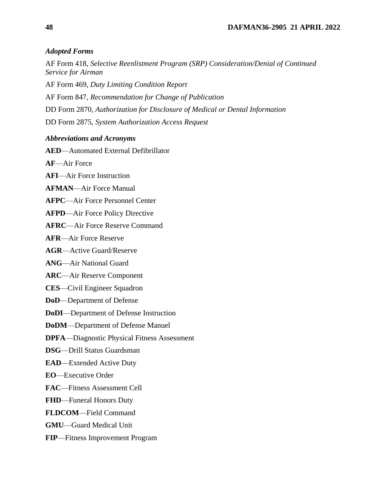### *Adopted Forms*

AF Form 418, *Selective Reenlistment Program (SRP) Consideration/Denial of Continued Service for Airman*

AF Form 469, *Duty Limiting Condition Report*

AF Form 847, *Recommendation for Change of Publication*

DD Form 2870, *Authorization for Disclosure of Medical or Dental Information*

DD Form 2875, *System Authorization Access Request*

### *Abbreviations and Acronyms*

**AED**—Automated External Defibrillator

**AF**—Air Force

**AFI**—Air Force Instruction

**AFMAN**—Air Force Manual

**AFPC**—Air Force Personnel Center

- **AFPD**—Air Force Policy Directive
- **AFRC**—Air Force Reserve Command

**AFR**—Air Force Reserve

**AGR**—Active Guard/Reserve

- **ANG**—Air National Guard
- **ARC**—Air Reserve Component
- **CES**—Civil Engineer Squadron
- **DoD**—Department of Defense
- **DoDI**—Department of Defense Instruction
- **DoDM**—Department of Defense Manuel
- **DPFA**—Diagnostic Physical Fitness Assessment
- **DSG**—Drill Status Guardsman
- **EAD**—Extended Active Duty
- **EO**—Executive Order
- **FAC**—Fitness Assessment Cell
- **FHD**—Funeral Honors Duty
- **FLDCOM**—Field Command
- **GMU**—Guard Medical Unit
- **FIP**—Fitness Improvement Program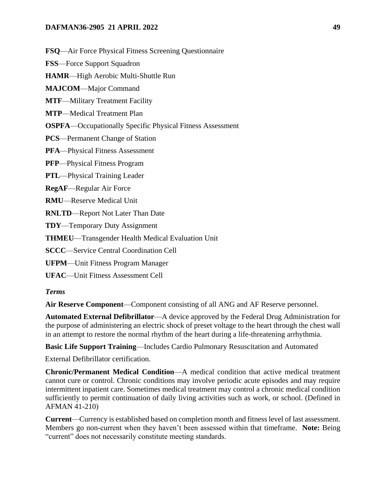**FSQ**—Air Force Physical Fitness Screening Questionnaire

**FSS**—Force Support Squadron

**HAMR**—High Aerobic Multi-Shuttle Run

**MAJCOM**—Major Command

**MTF**—Military Treatment Facility

**MTP**—Medical Treatment Plan

**OSPFA**—Occupationally Specific Physical Fitness Assessment

**PCS**—Permanent Change of Station

**PFA**—Physical Fitness Assessment

**PFP**—Physical Fitness Program

**PTL**—Physical Training Leader

**RegAF**—Regular Air Force

**RMU**—Reserve Medical Unit

**RNLTD**—Report Not Later Than Date

**TDY**—Temporary Duty Assignment

**THMEU**—Transgender Health Medical Evaluation Unit

**SCCC**—Service Central Coordination Cell

**UFPM**—Unit Fitness Program Manager

**UFAC**—Unit Fitness Assessment Cell

#### *Terms*

**Air Reserve Component**—Component consisting of all ANG and AF Reserve personnel.

**Automated External Defibrillator**—A device approved by the Federal Drug Administration for the purpose of administering an electric shock of preset voltage to the heart through the chest wall in an attempt to restore the normal rhythm of the heart during a life-threatening arrhythmia.

**Basic Life Support Training**—Includes Cardio Pulmonary Resuscitation and Automated

External Defibrillator certification.

**Chronic/Permanent Medical Condition**—A medical condition that active medical treatment cannot cure or control. Chronic conditions may involve periodic acute episodes and may require intermittent inpatient care. Sometimes medical treatment may control a chronic medical condition sufficiently to permit continuation of daily living activities such as work, or school. (Defined in AFMAN 41-210)

**Current**—Currency is established based on completion month and fitness level of last assessment. Members go non-current when they haven't been assessed within that timeframe. **Note:** Being "current" does not necessarily constitute meeting standards.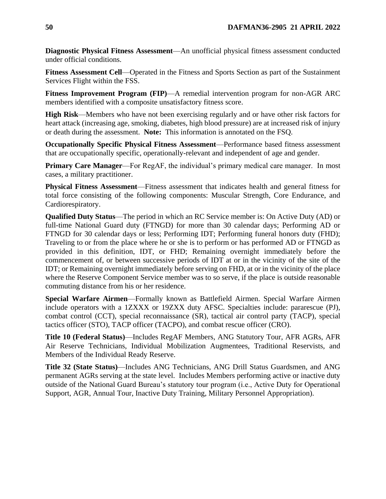**Diagnostic Physical Fitness Assessment**—An unofficial physical fitness assessment conducted under official conditions.

**Fitness Assessment Cell**—Operated in the Fitness and Sports Section as part of the Sustainment Services Flight within the FSS.

**Fitness Improvement Program (FIP)**—A remedial intervention program for non-AGR ARC members identified with a composite unsatisfactory fitness score.

**High Risk**—Members who have not been exercising regularly and or have other risk factors for heart attack (increasing age, smoking, diabetes, high blood pressure) are at increased risk of injury or death during the assessment. **Note:** This information is annotated on the FSQ.

**Occupationally Specific Physical Fitness Assessment**—Performance based fitness assessment that are occupationally specific, operationally-relevant and independent of age and gender.

**Primary Care Manager—For RegAF, the individual's primary medical care manager.** In most cases, a military practitioner.

**Physical Fitness Assessment**—Fitness assessment that indicates health and general fitness for total force consisting of the following components: Muscular Strength, Core Endurance, and Cardiorespiratory.

**Qualified Duty Status**—The period in which an RC Service member is: On Active Duty (AD) or full-time National Guard duty (FTNGD) for more than 30 calendar days; Performing AD or FTNGD for 30 calendar days or less; Performing IDT; Performing funeral honors duty (FHD); Traveling to or from the place where he or she is to perform or has performed AD or FTNGD as provided in this definition, IDT, or FHD; Remaining overnight immediately before the commencement of, or between successive periods of IDT at or in the vicinity of the site of the IDT; or Remaining overnight immediately before serving on FHD, at or in the vicinity of the place where the Reserve Component Service member was to so serve, if the place is outside reasonable commuting distance from his or her residence.

**Special Warfare Airmen**—Formally known as Battlefield Airmen. Special Warfare Airmen include operators with a 1ZXXX or 19ZXX duty AFSC. Specialties include: pararescue (PJ), combat control (CCT), special reconnaissance (SR), tactical air control party (TACP), special tactics officer (STO), TACP officer (TACPO), and combat rescue officer (CRO).

**Title 10 (Federal Status)**—Includes RegAF Members, ANG Statutory Tour, AFR AGRs, AFR Air Reserve Technicians, Individual Mobilization Augmentees, Traditional Reservists, and Members of the Individual Ready Reserve.

**Title 32 (State Status)**—Includes ANG Technicians, ANG Drill Status Guardsmen, and ANG permanent AGRs serving at the state level. Includes Members performing active or inactive duty outside of the National Guard Bureau's statutory tour program (i.e., Active Duty for Operational Support, AGR, Annual Tour, Inactive Duty Training, Military Personnel Appropriation).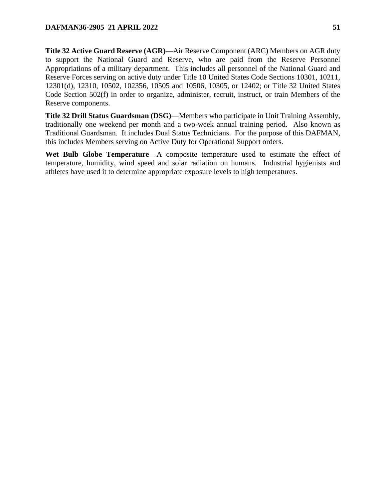**Title 32 Active Guard Reserve (AGR)**—Air Reserve Component (ARC) Members on AGR duty to support the National Guard and Reserve, who are paid from the Reserve Personnel Appropriations of a military department. This includes all personnel of the National Guard and Reserve Forces serving on active duty under Title 10 United States Code Sections 10301, 10211, 12301(d), 12310, 10502, 102356, 10505 and 10506, 10305, or 12402; or Title 32 United States Code Section 502(f) in order to organize, administer, recruit, instruct, or train Members of the Reserve components.

**Title 32 Drill Status Guardsman (DSG)**—Members who participate in Unit Training Assembly, traditionally one weekend per month and a two-week annual training period. Also known as Traditional Guardsman. It includes Dual Status Technicians. For the purpose of this DAFMAN, this includes Members serving on Active Duty for Operational Support orders.

**Wet Bulb Globe Temperature**—A composite temperature used to estimate the effect of temperature, humidity, wind speed and solar radiation on humans. Industrial hygienists and athletes have used it to determine appropriate exposure levels to high temperatures.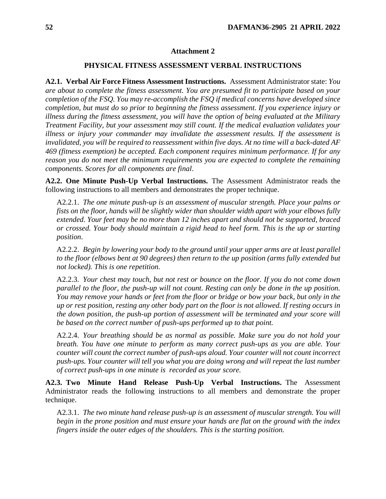#### **Attachment 2**

#### **PHYSICAL FITNESS ASSESSMENT VERBAL INSTRUCTIONS**

<span id="page-51-0"></span>**A2.1. Verbal Air Force Fitness Assessment Instructions.** Assessment Administrator state: *You are about to complete the fitness assessment. You are presumed fit to participate based on your completion of the FSQ. You may re-accomplish the FSQ if medical concerns have developed since completion, but must do so prior to beginning the fitness assessment. If you experience injury or illness during the fitness assessment, you will have the option of being evaluated at the Military Treatment Facility, but your assessment may still count. If the medical evaluation validates your illness or injury your commander may invalidate the assessment results. If the assessment is invalidated, you will be required to reassessment within five days. At no time will a back-dated AF 469 (fitness exemption) be accepted. Each component requires minimum performance. If for any reason you do not meet the minimum requirements you are expected to complete the remaining components. Scores for all components are final*.

**A2.2. One Minute Push-Up Verbal Instructions.** The Assessment Administrator reads the following instructions to all members and demonstrates the proper technique.

A2.2.1. *The one minute push-up is an assessment of muscular strength. Place your palms or fists on the floor, hands will be slightly wider than shoulder width apart with your elbows fully extended. Your feet may be no more than 12 inches apart and should not be supported, braced or crossed. Your body should maintain a rigid head to heel form. This is the up or starting position*.

A2.2.2. *Begin by lowering your body to the ground until your upper arms are at least parallel to the floor (elbows bent at 90 degrees) then return to the up position (arms fully extended but not locked). This is one repetition.*

A2.2.3. *Your chest may touch, but not rest or bounce on the floor. If you do not come down parallel to the floor, the push-up will not count. Resting can only be done in the up position. You may remove your hands or feet from the floor or bridge or bow your back, but only in the up or rest position, resting any other body part on the floor is not allowed. If resting occurs in the down position, the push-up portion of assessment will be terminated and your score will be based on the correct number of push-ups performed up to that point.*

A2.2.4. *Your breathing should be as normal as possible. Make sure you do not hold your breath. You have one minute to perform as many correct push-ups as you are able. Your counter will count the correct number of push-ups aloud. Your counter will not count incorrect push-ups. Your counter will tell you what you are doing wrong and will repeat the last number of correct push-ups in one minute is recorded as your score.*

**A2.3. Two Minute Hand Release Push-Up Verbal Instructions.** The Assessment Administrator reads the following instructions to all members and demonstrate the proper technique.

A2.3.1. *The two minute hand release push-up is an assessment of muscular strength. You will begin in the prone position and must ensure your hands are flat on the ground with the index fingers inside the outer edges of the shoulders. This is the starting position.*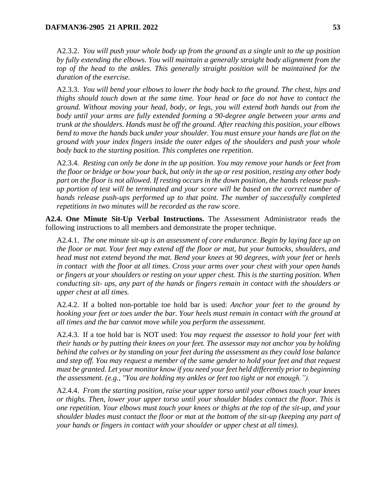A2.3.2. *You will push your whole body up from the ground as a single unit to the up position by fully extending the elbows. You will maintain a generally straight body alignment from the top of the head to the ankles. This generally straight position will be maintained for the duration of the exercise.*

A2.3.3. *You will bend your elbows to lower the body back to the ground. The chest, hips and thighs should touch down at the same time. Your head or face do not have to contact the ground. Without moving your head, body, or legs, you will extend both hands out from the body until your arms are fully extended forming a 90-degree angle between your arms and trunk at the shoulders. Hands must be off the ground. After reaching this position, your elbows bend to move the hands back under your shoulder. You must ensure your hands are flat on the ground with your index fingers inside the outer edges of the shoulders and push your whole body back to the starting position. This completes one repetition*.

A2.3.4. *Resting can only be done in the up position. You may remove your hands or feet from the floor or bridge or bow your back, but only in the up or rest position, resting any other body part on the floor is not allowed. If resting occurs in the down position, the hands release pushup portion of test will be terminated and your score will be based on the correct number of hands release push-ups performed up to that point. The number of successfully completed repetitions in two minutes will be recorded as the raw score.* 

**A2.4. One Minute Sit-Up Verbal Instructions.** The Assessment Administrator reads the following instructions to all members and demonstrate the proper technique.

A2.4.1. *The one minute sit-up is an assessment of core endurance. Begin by laying face up on the floor or mat. Your feet may extend off the floor or mat, but your buttocks, shoulders, and head must not extend beyond the mat. Bend your knees at 90 degrees, with your feet or heels in contact with the floor at all times. Cross your arms over your chest with your open hands or fingers at your shoulders or resting on your upper chest. This is the starting position. When conducting sit- ups, any part of the hands or fingers remain in contact with the shoulders or upper chest at all times.*

A2.4.2. If a bolted non-portable toe hold bar is used: *Anchor your feet to the ground by hooking your feet or toes under the bar. Your heels must remain in contact with the ground at all times and the bar cannot move while you perform the assessment.*

A2.4.3. If a toe hold bar is NOT used: *You may request the assessor to hold your feet with their hands or by putting their knees on your feet. The assessor may not anchor you by holding behind the calves or by standing on your feet during the assessment as they could lose balance and step off. You may request a member of the same gender to hold your feet and that request must be granted. Let your monitor know if you need your feet held differently prior to beginning the assessment. (e.g., "You are holding my ankles or feet too tight or not enough.").*

A2.4.4. *From the starting position, raise your upper torso until your elbows touch your knees or thighs. Then, lower your upper torso until your shoulder blades contact the floor. This is one repetition. Your elbows must touch your knees or thighs at the top of the sit-up, and your shoulder blades must contact the floor or mat at the bottom of the sit-up (keeping any part of your hands or fingers in contact with your shoulder or upper chest at all times).*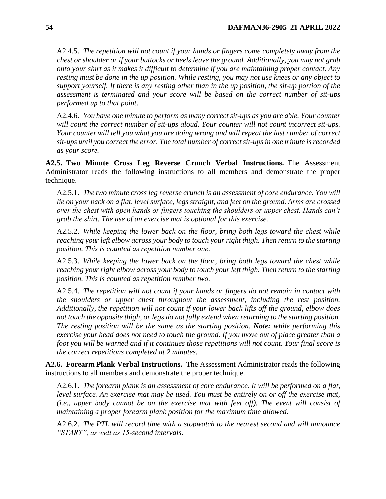A2.4.5. *The repetition will not count if your hands or fingers come completely away from the chest or shoulder or if your buttocks or heels leave the ground. Additionally, you may not grab onto your shirt as it makes it difficult to determine if you are maintaining proper contact. Any resting must be done in the up position. While resting, you may not use knees or any object to support yourself. If there is any resting other than in the up position, the sit-up portion of the assessment is terminated and your score will be based on the correct number of sit-ups performed up to that point*.

A2.4.6. *You have one minute to perform as many correct sit-ups as you are able. Your counter will count the correct number of sit-ups aloud. Your counter will not count incorrect sit-ups. Your counter will tell you what you are doing wrong and will repeat the last number of correct sit-ups until you correct the error. The total number of correct sit-ups in one minute is recorded as your score.*

**A2.5. Two Minute Cross Leg Reverse Crunch Verbal Instructions.** The Assessment Administrator reads the following instructions to all members and demonstrate the proper technique.

A2.5.1. *The two minute cross leg reverse crunch is an assessment of core endurance. You will lie on your back on a flat, level surface, legs straight, and feet on the ground. Arms are crossed over the chest with open hands or fingers touching the shoulders or upper chest. Hands can't grab the shirt. The use of an exercise mat is optional for this exercise.*

A2.5.2. *While keeping the lower back on the floor, bring both legs toward the chest while reaching your left elbow across your body to touch your right thigh. Then return to the starting position. This is counted as repetition number one.*

A2.5.3. *While keeping the lower back on the floor, bring both legs toward the chest while reaching your right elbow across your body to touch your left thigh. Then return to the starting position. This is counted as repetition number two.*

A2.5.4. *The repetition will not count if your hands or fingers do not remain in contact with the shoulders or upper chest throughout the assessment, including the rest position. Additionally, the repetition will not count if your lower back lifts off the ground, elbow does not touch the opposite thigh, or legs do not fully extend when returning to the starting position. The resting position will be the same as the starting position. Note: while performing this exercise your head does not need to touch the ground. If you move out of place greater than a foot you will be warned and if it continues those repetitions will not count. Your final score is the correct repetitions completed at 2 minutes.*

**A2.6. Forearm Plank Verbal Instructions.** The Assessment Administrator reads the following instructions to all members and demonstrate the proper technique.

A2.6.1. *The forearm plank is an assessment of core endurance. It will be performed on a flat,*  level surface. An exercise mat may be used. You must be entirely on or off the exercise mat, *(i.e., upper body cannot be on the exercise mat with feet off). The event will consist of maintaining a proper forearm plank position for the maximum time allowed*.

A2.6.2. *The PTL will record time with a stopwatch to the nearest second and will announce "START", as well as 15-second intervals*.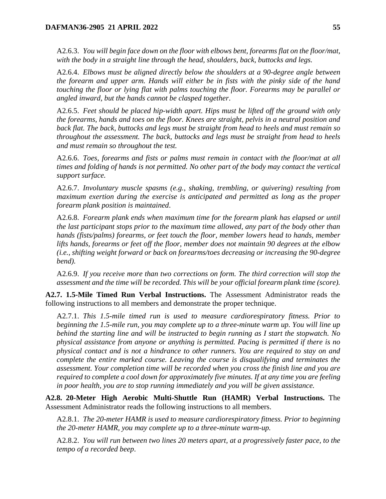A2.6.3. *You will begin face down on the floor with elbows bent, forearms flat on the floor/mat, with the body in a straight line through the head, shoulders, back, buttocks and legs.*

A2.6.4. *Elbows must be aligned directly below the shoulders at a 90-degree angle between the forearm and upper arm. Hands will either be in fists with the pinky side of the hand touching the floor or lying flat with palms touching the floor. Forearms may be parallel or angled inward, but the hands cannot be clasped together*.

A2.6.5. *Feet should be placed hip-width apart. Hips must be lifted off the ground with only the forearms, hands and toes on the floor. Knees are straight, pelvis in a neutral position and back flat. The back, buttocks and legs must be straight from head to heels and must remain so throughout the assessment. The back, buttocks and legs must be straight from head to heels and must remain so throughout the test.*

A2.6.6. *Toes, forearms and fists or palms must remain in contact with the floor/mat at all times and folding of hands is not permitted. No other part of the body may contact the vertical support surface.*

A2.6.7. *Involuntary muscle spasms (e.g., shaking, trembling, or quivering) resulting from maximum exertion during the exercise is anticipated and permitted as long as the proper forearm plank position is maintained*.

A2.6.8. *Forearm plank ends when maximum time for the forearm plank has elapsed or until the last participant stops prior to the maximum time allowed, any part of the body other than hands (fists/palms) forearms, or feet touch the floor, member lowers head to hands, member lifts hands, forearms or feet off the floor, member does not maintain 90 degrees at the elbow (i.e., shifting weight forward or back on forearms/toes decreasing or increasing the 90-degree bend).*

A2.6.9. *If you receive more than two corrections on form. The third correction will stop the assessment and the time will be recorded. This will be your official forearm plank time (score).*

**A2.7. 1.5-Mile Timed Run Verbal Instructions.** The Assessment Administrator reads the following instructions to all members and demonstrate the proper technique.

A2.7.1. *This 1.5-mile timed run is used to measure cardiorespiratory fitness. Prior to beginning the 1.5-mile run, you may complete up to a three-minute warm up. You will line up behind the starting line and will be instructed to begin running as I start the stopwatch. No physical assistance from anyone or anything is permitted. Pacing is permitted if there is no physical contact and is not a hindrance to other runners. You are required to stay on and complete the entire marked course. Leaving the course is disqualifying and terminates the assessment. Your completion time will be recorded when you cross the finish line and you are required to complete a cool down for approximately five minutes. If at any time you are feeling in poor health, you are to stop running immediately and you will be given assistance.*

**A2.8. 20-Meter High Aerobic Multi-Shuttle Run (HAMR) Verbal Instructions.** The Assessment Administrator reads the following instructions to all members.

A2.8.1. *The 20-meter HAMR is used to measure cardiorespiratory fitness. Prior to beginning the 20-meter HAMR, you may complete up to a three-minute warm-up.*

A2.8.2. *You will run between two lines 20 meters apart, at a progressively faster pace, to the tempo of a recorded beep*.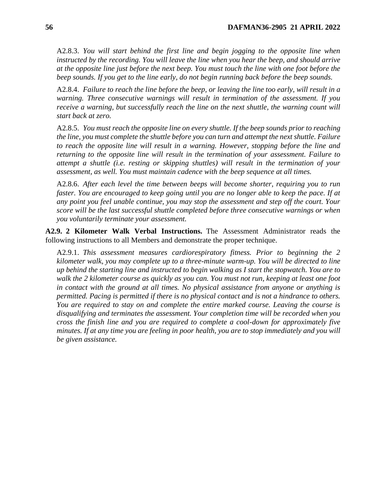A2.8.3. *You will start behind the first line and begin jogging to the opposite line when instructed by the recording. You will leave the line when you hear the beep, and should arrive at the opposite line just before the next beep. You must touch the line with one foot before the beep sounds. If you get to the line early, do not begin running back before the beep sounds.*

A2.8.4. *Failure to reach the line before the beep, or leaving the line too early, will result in a warning. Three consecutive warnings will result in termination of the assessment. If you receive a warning, but successfully reach the line on the next shuttle, the warning count will start back at zero.*

A2.8.5. *You must reach the opposite line on every shuttle. If the beep sounds prior to reaching the line, you must complete the shuttle before you can turn and attempt the next shuttle. Failure to reach the opposite line will result in a warning. However, stopping before the line and returning to the opposite line will result in the termination of your assessment. Failure to attempt a shuttle (i.e. resting or skipping shuttles) will result in the termination of your assessment, as well. You must maintain cadence with the beep sequence at all times.*

A2.8.6. *After each level the time between beeps will become shorter, requiring you to run faster. You are encouraged to keep going until you are no longer able to keep the pace. If at any point you feel unable continue, you may stop the assessment and step off the court. Your score will be the last successful shuttle completed before three consecutive warnings or when you voluntarily terminate your assessment.*

**A2.9. 2 Kilometer Walk Verbal Instructions.** The Assessment Administrator reads the following instructions to all Members and demonstrate the proper technique.

A2.9.1. *This assessment measures cardiorespiratory fitness. Prior to beginning the 2 kilometer walk, you may complete up to a three-minute warm-up. You will be directed to line up behind the starting line and instructed to begin walking as I start the stopwatch. You are to walk the 2 kilometer course as quickly as you can. You must not run, keeping at least one foot in contact with the ground at all times. No physical assistance from anyone or anything is permitted. Pacing is permitted if there is no physical contact and is not a hindrance to others. You are required to stay on and complete the entire marked course. Leaving the course is disqualifying and terminates the assessment. Your completion time will be recorded when you cross the finish line and you are required to complete a cool-down for approximately five minutes. If at any time you are feeling in poor health, you are to stop immediately and you will be given assistance.*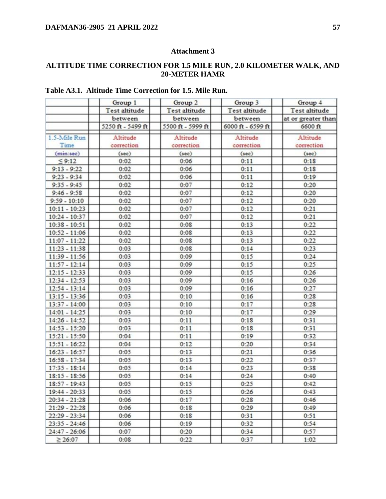## **Attachment 3**

## <span id="page-56-0"></span>**ALTITUDE TIME CORRECTION FOR 1.5 MILE RUN, 2.0 KILOMETER WALK, AND 20-METER HAMR**

|                 | Group 1<br>Test altitude | Group 2<br>Test altitude | Group 3<br>Test altitude | Group 4<br>Test altitude |
|-----------------|--------------------------|--------------------------|--------------------------|--------------------------|
|                 | between                  | between                  | between                  | at or greater than       |
|                 | 5250 ft - 5499 ft        | 5500 ft - 5999 ft        | 6000 ft - 6599 ft        | 6600 ft                  |
| 1.5-Mile Run    | Altitude                 | Altitude                 | Altitude                 | Altitude                 |
| Time            | correction               | correction               | correction               | correction               |
| (min:sec)       | (sec)                    | (sec)                    | (sec)                    | (sec)                    |
| 59:12           | 0:02                     | 0:06                     | 0:11                     | 0:18                     |
| $9:13 - 9:22$   | 0:02                     | 0:06                     | 0:11                     | 0:1S                     |
| $9:23 - 9:34$   | 0:02                     | 0:06                     | 0:11                     | 0:19                     |
| $9:35 - 9:45$   | 0:02                     | 0:07                     | 0:12                     | 0:20                     |
| $9:46 - 9:58$   | 0:02                     | 0:07                     | 0:12                     | 0:20                     |
| $9:59 - 10:10$  | 0:02                     | 0:07                     | 0:12                     | 0:20                     |
| $10:11 - 10:23$ | 0:02                     | 0:07                     | 0:12                     | 0:21                     |
| $10:24 - 10:37$ | 0:02                     | 0:07                     | 0:12                     | 0:21                     |
| $10:38 - 10:51$ | 0:02                     | 0:0S                     | 0:13                     | 0:22                     |
| $10:52 - 11:06$ | 0:02                     | 0:0S                     | 0:13                     | 0:22                     |
| $11:07 - 11:22$ | 0:02                     | 0:0S                     | 0:13                     | 0:22                     |
| $11:23 - 11:38$ | 0:03                     | 0:0S                     | 0:14                     | 0:23                     |
| $11:39 - 11:56$ | 0:03                     | 0:09                     | 0:15                     | 0:24                     |
| $11:57 - 12:14$ | 0:03                     | 0:09                     | 0:15                     | 0:25                     |
| $12:15 - 12:33$ | 0:03                     | 0:09                     | 0:15                     | 0:26                     |
| $12:34 - 12:53$ | 0:03                     | 0:09                     | 0:16                     | 0:26                     |
| $12:54 - 13:14$ | 0:03                     | 0:09                     | 0:16                     | 0:27                     |
| $13:15 - 13:36$ | 0:03                     | 0:10                     | 0:16                     | 0:28                     |
| $13:37 - 14:00$ | 0:03                     | 0:10                     | 0:17                     | 0:28                     |
| $14:01 - 14:25$ | 0:03                     | 0:10                     | 0:17                     | 0:29                     |
| $14:26 - 14:52$ | 0:03                     | 0:11                     | 0:18                     | 0:31                     |
| $14:53 - 15:20$ | 0:03                     | 0:11                     | 0:18                     | 0:31                     |
| $15:21 - 15:50$ | 0:04                     | 0:11                     | 0:19                     | 0:32                     |
| $15:51 - 16:22$ | 0:04                     | 0:12                     | 0:20                     | 0:34                     |
| $16:23 - 16:57$ | 0:05                     | 0:13                     | 0:21                     | 0:36                     |
| $16:58 - 17:34$ | 0:05                     | 0:13                     | 0:22                     | 0:37                     |
| $17:35 - 18:14$ | 0:05                     | 0:14                     | 0:23                     | 0:38                     |
| $18:15 - 18:56$ | 0:05                     | 0:14                     | 0:24                     | 0:40                     |
| $18:57 - 19:43$ | 0:05                     | 0:15                     | 0:25                     | 0:42                     |
| $19:44 - 20:33$ | 0:05                     | 0:15                     | 0:26                     | 0:43                     |
| $20:34 - 21:28$ | 0:06                     | 0:17                     | 0:28                     | 0:46                     |
| $21:29 - 22:28$ | 0:06                     | 0:18                     | 0:29                     | 0:49                     |
|                 | 0:06                     |                          |                          |                          |
| $22:29 - 23:34$ |                          | 0:1S                     | 0:31                     | 0:51                     |
| $23:35 - 24:46$ | 0:06                     | 0:19                     | 0:32                     | 0:54                     |
| $24:47 - 26:06$ | 0:07                     | 0:20                     | 0:34                     | 0:57                     |
| $\geq 26:07$    | 0:0S                     | 0:22                     | 0:37                     | 1:02                     |

## **Table A3.1. Altitude Time Correction for 1.5. Mile Run.**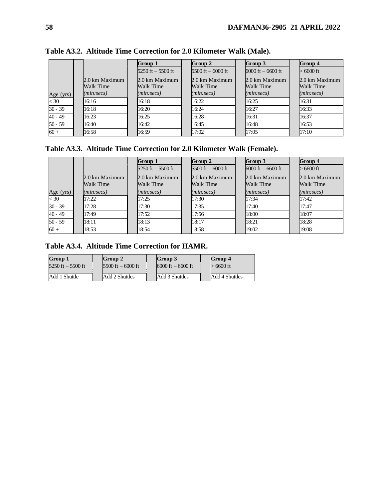|           |                | Group 1                             | Group 2              | Group 3              | Group 4        |
|-----------|----------------|-------------------------------------|----------------------|----------------------|----------------|
|           |                | $5250 \text{ ft} - 5500 \text{ ft}$ | $5500$ ft $-6000$ ft | $6000$ ft $-6600$ ft | > 6600 ft      |
|           | 2.0 km Maximum | 2.0 km Maximum                      | 2.0 km Maximum       | 2.0 km Maximum       | 2.0 km Maximum |
|           | Walk Time      | Walk Time                           | Walk Time            | Walk Time            | Walk Time      |
| Age (yrs) | (min:secs)     | (min:secs)                          | (min:secs)           | (min:secs)           | (min:secs)     |
| < 30      | 16:16          | 16:18                               | 16:22                | 16:25                | 16:31          |
| $30 - 39$ | 16:18          | 16:20                               | 16:24                | 16:27                | 16:33          |
| $40 - 49$ | 16:23          | 16:25                               | 16:28                | 16:31                | 16:37          |
| $50 - 59$ | 16:40          | 16:42                               | 16:45                | 16:48                | 16:53          |
| $60 +$    | 16:58          | 16:59                               | 17:02                | 17:05                | 17:10          |

**Table A3.2. Altitude Time Correction for 2.0 Kilometer Walk (Male).**

## **Table A3.3. Altitude Time Correction for 2.0 Kilometer Walk (Female).**

|                  |                             | Group 1                     | Group 2                     | Group 3                     | Group 4                     |
|------------------|-----------------------------|-----------------------------|-----------------------------|-----------------------------|-----------------------------|
|                  |                             | $5250$ ft $-5500$ ft        | $5500$ ft $-6000$ ft        | $6000$ ft $-6600$ ft        | $>6600$ ft                  |
|                  | 2.0 km Maximum<br>Walk Time | 2.0 km Maximum<br>Walk Time | 2.0 km Maximum<br>Walk Time | 2.0 km Maximum<br>Walk Time | 2.0 km Maximum<br>Walk Time |
| Age (yrs)        | (min:secs)                  | (min:secs)                  | (min:secs)                  | (min:secs)                  | (min:secs)                  |
| $\overline{<}30$ | 17:22                       | 17:25                       | 17:30                       | 17:34                       | 17:42                       |
| $30 - 39$        | 17:28                       | 17:30                       | 17:35                       | 17:40                       | 17:47                       |
| $40 - 49$        | 17:49                       | 17:52                       | 17:56                       | 18:00                       | 18:07                       |
| $50 - 59$        | 18:11                       | 18:13                       | 18:17                       | 18:21                       | 18:28                       |
| $60 +$           | 18:53                       | 18:54                       | 18:58                       | 19:02                       | 19:08                       |

# **Table A3.4. Altitude Time Correction for HAMR.**

| Group 1             | Group 2              | Group 3              | Group 4          |
|---------------------|----------------------|----------------------|------------------|
| 5250 ft $-$ 5500 ft | $5500$ ft $-6000$ ft | $6000$ ft $-6600$ ft | > 6600 ft        |
| Add 1 Shuttle       | Add 2 Shuttles       | Add 3 Shuttles       | " Add 4 Shuttles |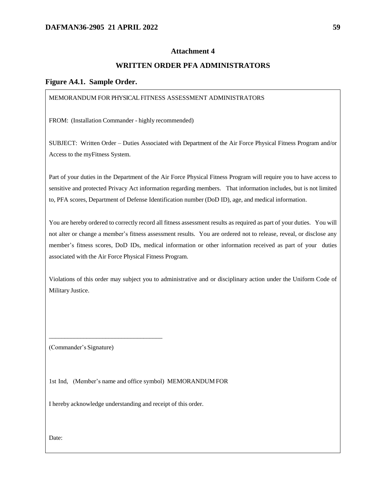#### **Attachment 4**

### **WRITTEN ORDER PFA ADMINISTRATORS**

#### <span id="page-58-0"></span>**Figure A4.1. Sample Order.**

#### MEMORANDUM FOR PHYSICAL FITNESS ASSESSMENT ADMINISTRATORS

FROM: (Installation Commander - highly recommended)

SUBJECT: Written Order – Duties Associated with Department of the Air Force Physical Fitness Program and/or Access to the myFitness System.

Part of your duties in the Department of the Air Force Physical Fitness Program will require you to have access to sensitive and protected Privacy Act information regarding members. That information includes, but is not limited to, PFA scores, Department of Defense Identification number (DoD ID), age, and medical information.

You are hereby ordered to correctly record all fitness assessment results as required as part of your duties. You will not alter or change a member's fitness assessment results. You are ordered not to release, reveal, or disclose any member's fitness scores, DoD IDs, medical information or other information received as part of your duties associated with the Air Force Physical Fitness Program.

Violations of this order may subject you to administrative and or disciplinary action under the Uniform Code of Military Justice.

(Commander's Signature)

\_\_\_\_\_\_\_\_\_\_\_\_\_\_\_\_\_\_\_\_\_\_\_\_\_\_\_\_\_\_\_\_\_\_\_\_

1st Ind, (Member's name and office symbol) MEMORANDUM FOR

I hereby acknowledge understanding and receipt of this order.

Date: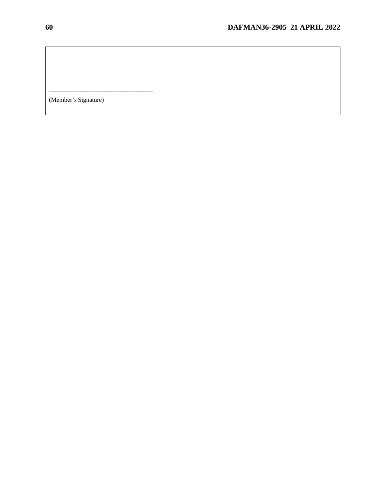(Member's Signature)

\_\_\_\_\_\_\_\_\_\_\_\_\_\_\_\_\_\_\_\_\_\_\_\_\_\_\_\_\_\_\_\_\_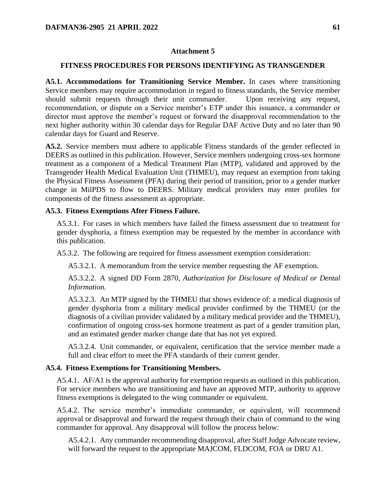#### **Attachment 5**

#### <span id="page-60-0"></span>**FITNESS PROCEDURES FOR PERSONS IDENTIFYING AS TRANSGENDER**

**A5.1. Accommodations for Transitioning Service Member.** In cases where transitioning Service members may require accommodation in regard to fitness standards, the Service member should submit requests through their unit commander. Upon receiving any request, recommendation, or dispute on a Service member's ETP under this issuance, a commander or director must approve the member's request or forward the disapproval recommendation to the next higher authority within 30 calendar days for Regular DAF Active Duty and no later than 90 calendar days for Guard and Reserve.

**A5.2.** Service members must adhere to applicable Fitness standards of the gender reflected in DEERS as outlined in this publication. However, Service members undergoing cross-sex hormone treatment as a component of a Medical Treatment Plan (MTP), validated and approved by the Transgender Health Medical Evaluation Unit (THMEU), may request an exemption from taking the Physical Fitness Assessment (PFA) during their period of transition, prior to a gender marker change in MilPDS to flow to DEERS. Military medical providers may enter profiles for components of the fitness assessment as appropriate.

#### **A5.3. Fitness Exemptions After Fitness Failure.**

A5.3.1. For cases in which members have failed the fitness assessment due to treatment for gender dysphoria, a fitness exemption may be requested by the member in accordance with this publication.

A5.3.2. The following are required for fitness assessment exemption consideration:

A5.3.2.1. A memorandum from the service member requesting the AF exemption.

A5.3.2.2. A signed DD Form 2870, *Authorization for Disclosure of Medical or Dental Information.*

A5.3.2.3. An MTP signed by the THMEU that shows evidence of: a medical diagnosis of gender dysphoria from a military medical provider confirmed by the THMEU (or the diagnosis of a civilian provider validated by a military medical provider and the THMEU), confirmation of ongoing cross-sex hormone treatment as part of a gender transition plan, and an estimated gender marker change date that has not yet expired.

A5.3.2.4. Unit commander, or equivalent, certification that the service member made a full and clear effort to meet the PFA standards of their current gender.

#### **A5.4. Fitness Exemptions for Transitioning Members.**

A5.4.1. AF/A1 is the approval authority for exemption requests as outlined in this publication. For service members who are transitioning and have an approved MTP, authority to approve fitness exemptions is delegated to the wing commander or equivalent.

A5.4.2. The service member's immediate commander, or equivalent, will recommend approval or disapproval and forward the request through their chain of command to the wing commander for approval. Any disapproval will follow the process below:

A5.4.2.1. Any commander recommending disapproval, after Staff Judge Advocate review, will forward the request to the appropriate MAJCOM, FLDCOM, FOA or DRU A1.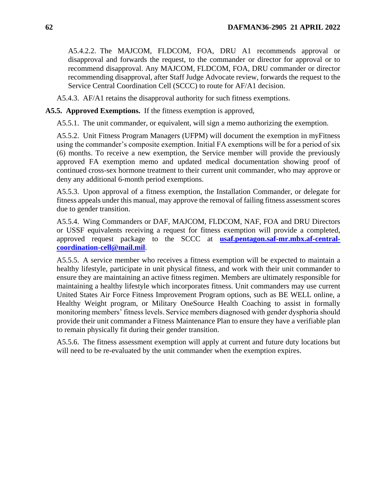A5.4.2.2. The MAJCOM, FLDCOM, FOA, DRU A1 recommends approval or disapproval and forwards the request, to the commander or director for approval or to recommend disapproval. Any MAJCOM, FLDCOM, FOA, DRU commander or director recommending disapproval, after Staff Judge Advocate review, forwards the request to the Service Central Coordination Cell (SCCC) to route for AF/A1 decision.

A5.4.3. AF/A1 retains the disapproval authority for such fitness exemptions.

**A5.5. Approved Exemptions.** If the fitness exemption is approved,

A5.5.1. The unit commander, or equivalent, will sign a memo authorizing the exemption.

A5.5.2. Unit Fitness Program Managers (UFPM) will document the exemption in myFitness using the commander's composite exemption. Initial FA exemptions will be for a period of six (6) months. To receive a new exemption, the Service member will provide the previously approved FA exemption memo and updated medical documentation showing proof of continued cross-sex hormone treatment to their current unit commander, who may approve or deny any additional 6-month period exemptions.

A5.5.3. Upon approval of a fitness exemption, the Installation Commander, or delegate for fitness appeals under this manual, may approve the removal of failing fitness assessment scores due to gender transition.

A5.5.4. Wing Commanders or DAF, MAJCOM, FLDCOM, NAF, FOA and DRU Directors or USSF equivalents receiving a request for fitness exemption will provide a completed, approved request package to the SCCC at **[usaf.pentagon.saf-mr.mbx.af-central](mailto:usaf.pentagon.saf-mr.mbx.af-central-coordination-cell@mail.mil)[coordination-cell@mail.mil](mailto:usaf.pentagon.saf-mr.mbx.af-central-coordination-cell@mail.mil)**.

A5.5.5. A service member who receives a fitness exemption will be expected to maintain a healthy lifestyle, participate in unit physical fitness, and work with their unit commander to ensure they are maintaining an active fitness regimen. Members are ultimately responsible for maintaining a healthy lifestyle which incorporates fitness. Unit commanders may use current United States Air Force Fitness Improvement Program options, such as BE WELL online, a Healthy Weight program, or Military OneSource Health Coaching to assist in formally monitoring members' fitness levels. Service members diagnosed with gender dysphoria should provide their unit commander a Fitness Maintenance Plan to ensure they have a verifiable plan to remain physically fit during their gender transition.

A5.5.6. The fitness assessment exemption will apply at current and future duty locations but will need to be re-evaluated by the unit commander when the exemption expires.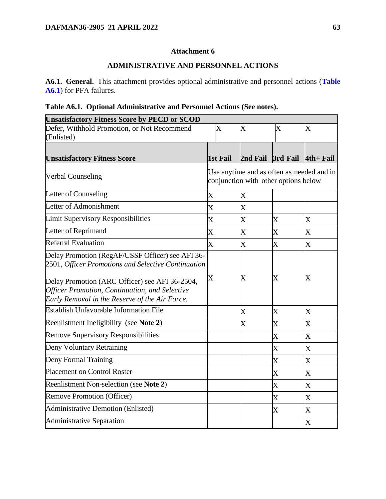### **Attachment 6**

### **ADMINISTRATIVE AND PERSONNEL ACTIONS**

<span id="page-62-0"></span>**A6.1. General.** This attachment provides optional administrative and personnel actions (**[Table](#page-62-1)  [A6.1](#page-62-1)**) for PFA failures.

# <span id="page-62-1"></span>**Table A6.1. Optional Administrative and Personnel Actions (See notes).**

| <b>Unsatisfactory Fitness Score by PECD or SCOD</b>                                                                                                |                                                                                   |                           |                         |                         |  |  |  |
|----------------------------------------------------------------------------------------------------------------------------------------------------|-----------------------------------------------------------------------------------|---------------------------|-------------------------|-------------------------|--|--|--|
| Defer, Withhold Promotion, or Not Recommend                                                                                                        | $\overline{\text{X}}$                                                             | $\overline{\text{X}}$     | $\overline{\text{X}}$   | X                       |  |  |  |
| (Enlisted)                                                                                                                                         |                                                                                   |                           |                         |                         |  |  |  |
|                                                                                                                                                    |                                                                                   |                           |                         |                         |  |  |  |
| <b>Unsatisfactory Fitness Score</b>                                                                                                                | 1st Fail                                                                          |                           | 2nd Fail 3rd Fail       | $4th + Fal$             |  |  |  |
| <b>Verbal Counseling</b>                                                                                                                           | Use anytime and as often as needed and in<br>conjunction with other options below |                           |                         |                         |  |  |  |
| Letter of Counseling                                                                                                                               | $\overline{\text{X}}$                                                             | $\overline{\text{X}}$     |                         |                         |  |  |  |
| Letter of Admonishment                                                                                                                             | $\overline{\text{X}}$                                                             | $\overline{\text{X}}$     |                         |                         |  |  |  |
| <b>Limit Supervisory Responsibilities</b>                                                                                                          | $\overline{\mathrm{X}}$                                                           | $\rm X$                   | $\rm X$                 | $\overline{\text{X}}$   |  |  |  |
| Letter of Reprimand                                                                                                                                | $\overline{\text{X}}$                                                             | $\rm X$                   | $\overline{\text{X}}$   | $\overline{\text{X}}$   |  |  |  |
| Referral Evaluation                                                                                                                                | $\overline{\text{X}}$                                                             | $\overline{\mathrm{X}}$   | $\overline{\mathrm{X}}$ | $\overline{\text{X}}$   |  |  |  |
| Delay Promotion (RegAF/USSF Officer) see AFI 36-<br>2501, Officer Promotions and Selective Continuation                                            |                                                                                   |                           |                         |                         |  |  |  |
| Delay Promotion (ARC Officer) see AFI 36-2504,<br>Officer Promotion, Continuation, and Selective<br>Early Removal in the Reserve of the Air Force. | X                                                                                 | $\boldsymbol{\mathrm{X}}$ | X                       | X                       |  |  |  |
| <b>Establish Unfavorable Information File</b>                                                                                                      |                                                                                   | $\overline{\text{X}}$     | $\overline{X}$          | $\overline{\text{X}}$   |  |  |  |
| Reenlistment Ineligibility (see Note 2)                                                                                                            |                                                                                   | $\overline{\mathrm{X}}$   | $\overline{\mathrm{X}}$ | $\overline{\text{X}}$   |  |  |  |
| <b>Remove Supervisory Responsibilities</b>                                                                                                         |                                                                                   |                           | $\overline{\text{X}}$   | $\overline{\text{X}}$   |  |  |  |
| Deny Voluntary Retraining                                                                                                                          |                                                                                   |                           | $\overline{\mathrm{X}}$ | $\overline{\text{X}}$   |  |  |  |
| Deny Formal Training                                                                                                                               |                                                                                   |                           | $\overline{\text{X}}$   | $\overline{\text{X}}$   |  |  |  |
| Placement on Control Roster                                                                                                                        |                                                                                   |                           | $\overline{\text{X}}$   | $\overline{X}$          |  |  |  |
| Reenlistment Non-selection (see Note 2)                                                                                                            |                                                                                   |                           | $\overline{\mathrm{X}}$ | $\overline{X}$          |  |  |  |
| <b>Remove Promotion (Officer)</b>                                                                                                                  |                                                                                   |                           | $\overline{\text{X}}$   | $\overline{X}$          |  |  |  |
| Administrative Demotion (Enlisted)                                                                                                                 |                                                                                   |                           | $\overline{\text{X}}$   | $\overline{\mathrm{X}}$ |  |  |  |
| <b>Administrative Separation</b>                                                                                                                   |                                                                                   |                           |                         | X                       |  |  |  |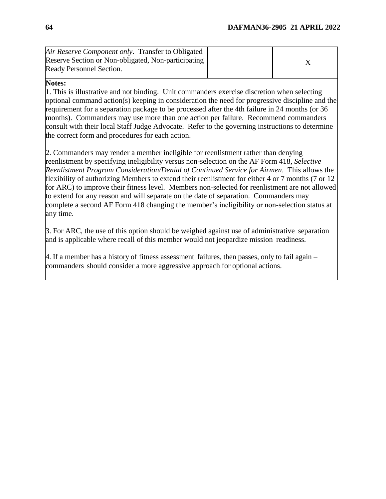| Air Reserve Component only. Transfer to Obligated   |  |  |
|-----------------------------------------------------|--|--|
| Reserve Section or Non-obligated, Non-participating |  |  |
| Ready Personnel Section.                            |  |  |

### **Notes:**

1. This is illustrative and not binding. Unit commanders exercise discretion when selecting optional command action(s) keeping in consideration the need for progressive discipline and the requirement for a separation package to be processed after the 4th failure in 24 months (or 36 months). Commanders may use more than one action per failure. Recommend commanders consult with their local Staff Judge Advocate. Refer to the governing instructions to determine the correct form and procedures for each action.

2. Commanders may render a member ineligible for reenlistment rather than denying reenlistment by specifying ineligibility versus non-selection on the AF Form 418, *Selective Reenlistment Program Consideration/Denial of Continued Service for Airmen*. This allows the flexibility of authorizing Members to extend their reenlistment for either 4 or 7 months (7 or 12 for ARC) to improve their fitness level. Members non-selected for reenlistment are not allowed to extend for any reason and will separate on the date of separation. Commanders may complete a second AF Form 418 changing the member's ineligibility or non-selection status at any time.

3. For ARC, the use of this option should be weighed against use of administrative separation and is applicable where recall of this member would not jeopardize mission readiness.

4. If a member has a history of fitness assessment failures, then passes, only to fail again – commanders should consider a more aggressive approach for optional actions.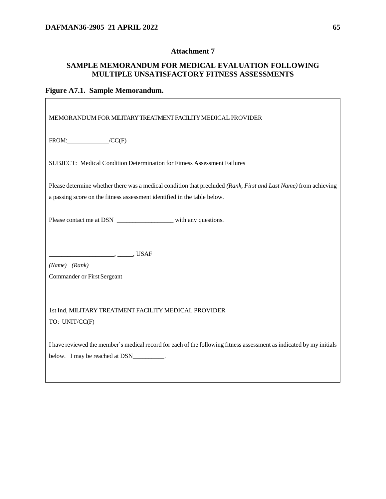### **Attachment 7**

## <span id="page-64-0"></span>**SAMPLE MEMORANDUM FOR MEDICAL EVALUATION FOLLOWING MULTIPLE UNSATISFACTORY FITNESS ASSESSMENTS**

## **Figure A7.1. Sample Memorandum.**

| MEMORANDUM FOR MILITARY TREATMENT FACILITY MEDICAL PROVIDER                                                                                                                                  |  |  |  |  |  |
|----------------------------------------------------------------------------------------------------------------------------------------------------------------------------------------------|--|--|--|--|--|
| $FROM:$ $/CC(F)$                                                                                                                                                                             |  |  |  |  |  |
| SUBJECT: Medical Condition Determination for Fitness Assessment Failures                                                                                                                     |  |  |  |  |  |
| Please determine whether there was a medical condition that precluded (Rank, First and Last Name) from achieving<br>a passing score on the fitness assessment identified in the table below. |  |  |  |  |  |
| Please contact me at DSN _______________________ with any questions.                                                                                                                         |  |  |  |  |  |
| (Name) (Rank)<br>Commander or First Sergeant                                                                                                                                                 |  |  |  |  |  |
| 1st Ind, MILITARY TREATMENT FACILITY MEDICAL PROVIDER<br>TO: UNIT/CC(F)                                                                                                                      |  |  |  |  |  |
| I have reviewed the member's medical record for each of the following fitness assessment as indicated by my initials<br>below. I may be reached at DSN___________.                           |  |  |  |  |  |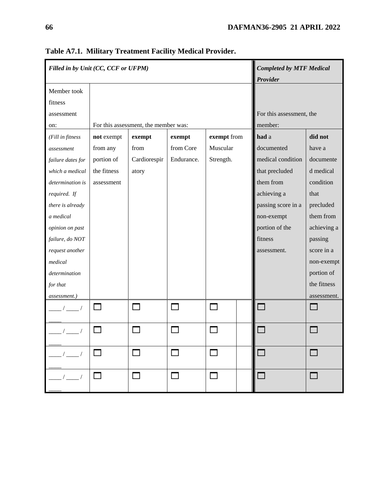| Filled in by Unit (CC, CCF or UFPM) |                                      |              |            | <b>Completed by MTF Medical</b><br>Provider |                          |                    |             |
|-------------------------------------|--------------------------------------|--------------|------------|---------------------------------------------|--------------------------|--------------------|-------------|
| Member took<br>fitness              |                                      |              |            |                                             |                          |                    |             |
| assessment                          |                                      |              |            |                                             | For this assessment, the |                    |             |
| on:                                 | For this assessment, the member was: |              |            |                                             | member:                  |                    |             |
| (Fill in fitness                    | not exempt                           | exempt       | exempt     | exempt from                                 |                          | had a              | did not     |
| assessment                          | from any                             | from         | from Core  | Muscular                                    |                          | documented         | have a      |
| failure dates for                   | portion of                           | Cardiorespir | Endurance. | Strength.                                   |                          | medical condition  | documente   |
| which a medical                     | the fitness                          | atory        |            |                                             |                          | that precluded     | d medical   |
| determination is                    | assessment                           |              |            |                                             |                          | them from          | condition   |
| required. If                        |                                      |              |            |                                             |                          | achieving a        | that        |
| there is already                    |                                      |              |            |                                             |                          | passing score in a | precluded   |
| a medical                           |                                      |              |            |                                             |                          | non-exempt         | them from   |
| opinion on past                     |                                      |              |            |                                             |                          | portion of the     | achieving a |
| failure, do NOT                     |                                      |              |            |                                             |                          | fitness            | passing     |
| request another                     |                                      |              |            |                                             |                          | assessment.        | score in a  |
| medical                             |                                      |              |            |                                             |                          |                    | non-exempt  |
| determination                       |                                      |              |            |                                             |                          |                    | portion of  |
| for that                            |                                      |              |            |                                             |                          |                    | the fitness |
| assessment.)                        |                                      |              |            |                                             |                          |                    | assessment. |
|                                     | $\sim$                               |              | П          |                                             |                          |                    |             |
|                                     |                                      |              |            |                                             |                          |                    |             |
| $\frac{\frac{1}{2}}{2}$             |                                      |              |            |                                             |                          |                    |             |
| $\frac{1}{\sqrt{2}}$                |                                      |              |            |                                             |                          |                    |             |

**Table A7.1. Military Treatment Facility Medical Provider.**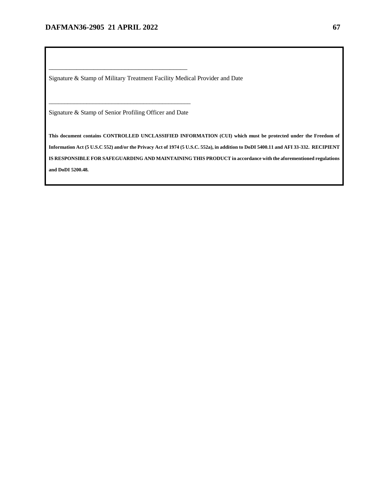Signature & Stamp of Military Treatment Facility Medical Provider and Date

\_\_\_\_\_\_\_\_\_\_\_\_\_\_\_\_\_\_\_\_\_\_\_\_\_\_\_\_\_\_\_\_\_\_\_\_\_\_\_\_\_\_\_\_\_ Signature & Stamp of Senior Profiling Officer and Date

\_\_\_\_\_\_\_\_\_\_\_\_\_\_\_\_\_\_\_\_\_\_\_\_\_\_\_\_\_\_\_\_\_\_\_\_\_\_\_\_

**This document contains CONTROLLED UNCLASSIFIED INFORMATION (CUI) which must be protected under the Freedom of Information Act (5 U.S.C 552) and/or the Privacy Act of 1974 (5 U.S.C. 552a), in addition to DoDI 5400.11 and AFI 33-332. RECIPIENT IS RESPONSIBLE FOR SAFEGUARDING AND MAINTAINING THIS PRODUCT in accordance with the aforementioned regulations and DoDI 5200.48***.*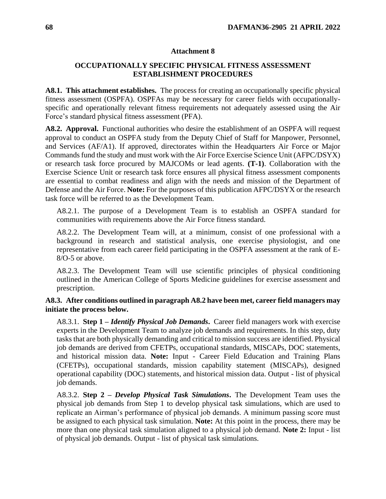#### **Attachment 8**

### <span id="page-67-0"></span>**OCCUPATIONALLY SPECIFIC PHYSICAL FITNESS ASSESSMENT ESTABLISHMENT PROCEDURES**

**A8.1. This attachment establishes.** The process for creating an occupationally specific physical fitness assessment (OSPFA). OSPFAs may be necessary for career fields with occupationallyspecific and operationally relevant fitness requirements not adequately assessed using the Air Force's standard physical fitness assessment (PFA).

**A8.2. Approval.** Functional authorities who desire the establishment of an OSPFA will request approval to conduct an OSPFA study from the Deputy Chief of Staff for Manpower, Personnel, and Services (AF/A1). If approved, directorates within the Headquarters Air Force or Major Commands fund the study and must work with the Air Force Exercise Science Unit (AFPC/DSYX) or research task force procured by MAJCOMs or lead agents. **(T-1)**. Collaboration with the Exercise Science Unit or research task force ensures all physical fitness assessment components are essential to combat readiness and align with the needs and mission of the Department of Defense and the Air Force. **Note:** For the purposes of this publication AFPC/DSYX or the research task force will be referred to as the Development Team.

A8.2.1. The purpose of a Development Team is to establish an OSPFA standard for communities with requirements above the Air Force fitness standard.

A8.2.2. The Development Team will, at a minimum, consist of one professional with a background in research and statistical analysis, one exercise physiologist, and one representative from each career field participating in the OSPFA assessment at the rank of E-8/O-5 or above.

A8.2.3. The Development Team will use scientific principles of physical conditioning outlined in the American College of Sports Medicine guidelines for exercise assessment and prescription.

**A8.3. After conditions outlined in paragraph A8.2 have been met, career field managers may initiate the process below.**

A8.3.1. **Step 1 –** *Identify Physical Job Demands***.** Career field managers work with exercise experts in the Development Team to analyze job demands and requirements. In this step, duty tasks that are both physically demanding and critical to mission success are identified. Physical job demands are derived from CFETPs, occupational standards, MISCAPs, DOC statements, and historical mission data. **Note:** Input - Career Field Education and Training Plans (CFETPs), occupational standards, mission capability statement (MISCAPs), designed operational capability (DOC) statements, and historical mission data. Output - list of physical job demands.

A8.3.2. **Step 2 –** *Develop Physical Task Simulations***.** The Development Team uses the physical job demands from Step 1 to develop physical task simulations, which are used to replicate an Airman's performance of physical job demands. A minimum passing score must be assigned to each physical task simulation. **Note:** At this point in the process, there may be more than one physical task simulation aligned to a physical job demand. **Note 2:** Input - list of physical job demands. Output - list of physical task simulations.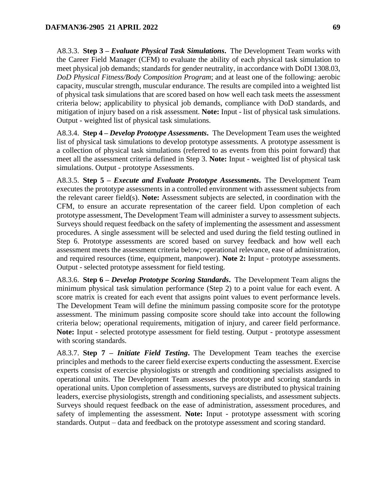A8.3.3. **Step 3 –** *Evaluate Physical Task Simulations***.** The Development Team works with the Career Field Manager (CFM) to evaluate the ability of each physical task simulation to meet physical job demands; standards for gender neutrality, in accordance with DoDI 1308.03, *DoD Physical Fitness/Body Composition Program*; and at least one of the following: aerobic capacity, muscular strength, muscular endurance. The results are compiled into a weighted list of physical task simulations that are scored based on how well each task meets the assessment criteria below; applicability to physical job demands, compliance with DoD standards, and mitigation of injury based on a risk assessment. **Note:** Input - list of physical task simulations. Output - weighted list of physical task simulations.

A8.3.4. **Step 4 –** *Develop Prototype Assessments***.** The Development Team uses the weighted list of physical task simulations to develop prototype assessments. A prototype assessment is a collection of physical task simulations (referred to as events from this point forward) that meet all the assessment criteria defined in Step 3. **Note:** Input - weighted list of physical task simulations. Output - prototype Assessments.

A8.3.5. **Step 5 –** *Execute and Evaluate Prototype Assessments***.** The Development Team executes the prototype assessments in a controlled environment with assessment subjects from the relevant career field(s). **Note:** Assessment subjects are selected, in coordination with the CFM, to ensure an accurate representation of the career field. Upon completion of each prototype assessment, The Development Team will administer a survey to assessment subjects. Surveys should request feedback on the safety of implementing the assessment and assessment procedures. A single assessment will be selected and used during the field testing outlined in Step 6. Prototype assessments are scored based on survey feedback and how well each assessment meets the assessment criteria below; operational relevance, ease of administration, and required resources (time, equipment, manpower). **Note 2:** Input - prototype assessments. Output - selected prototype assessment for field testing.

A8.3.6. **Step 6 –** *Develop Prototype Scoring Standards***.** The Development Team aligns the minimum physical task simulation performance (Step 2) to a point value for each event. A score matrix is created for each event that assigns point values to event performance levels. The Development Team will define the minimum passing composite score for the prototype assessment. The minimum passing composite score should take into account the following criteria below; operational requirements, mitigation of injury, and career field performance. **Note:** Input - selected prototype assessment for field testing. Output - prototype assessment with scoring standards.

A8.3.7. **Step 7 –** *Initiate Field Testing***.** The Development Team teaches the exercise principles and methods to the career field exercise experts conducting the assessment. Exercise experts consist of exercise physiologists or strength and conditioning specialists assigned to operational units. The Development Team assesses the prototype and scoring standards in operational units. Upon completion of assessments, surveys are distributed to physical training leaders, exercise physiologists, strength and conditioning specialists, and assessment subjects. Surveys should request feedback on the ease of administration, assessment procedures, and safety of implementing the assessment. **Note:** Input - prototype assessment with scoring standards. Output – data and feedback on the prototype assessment and scoring standard.